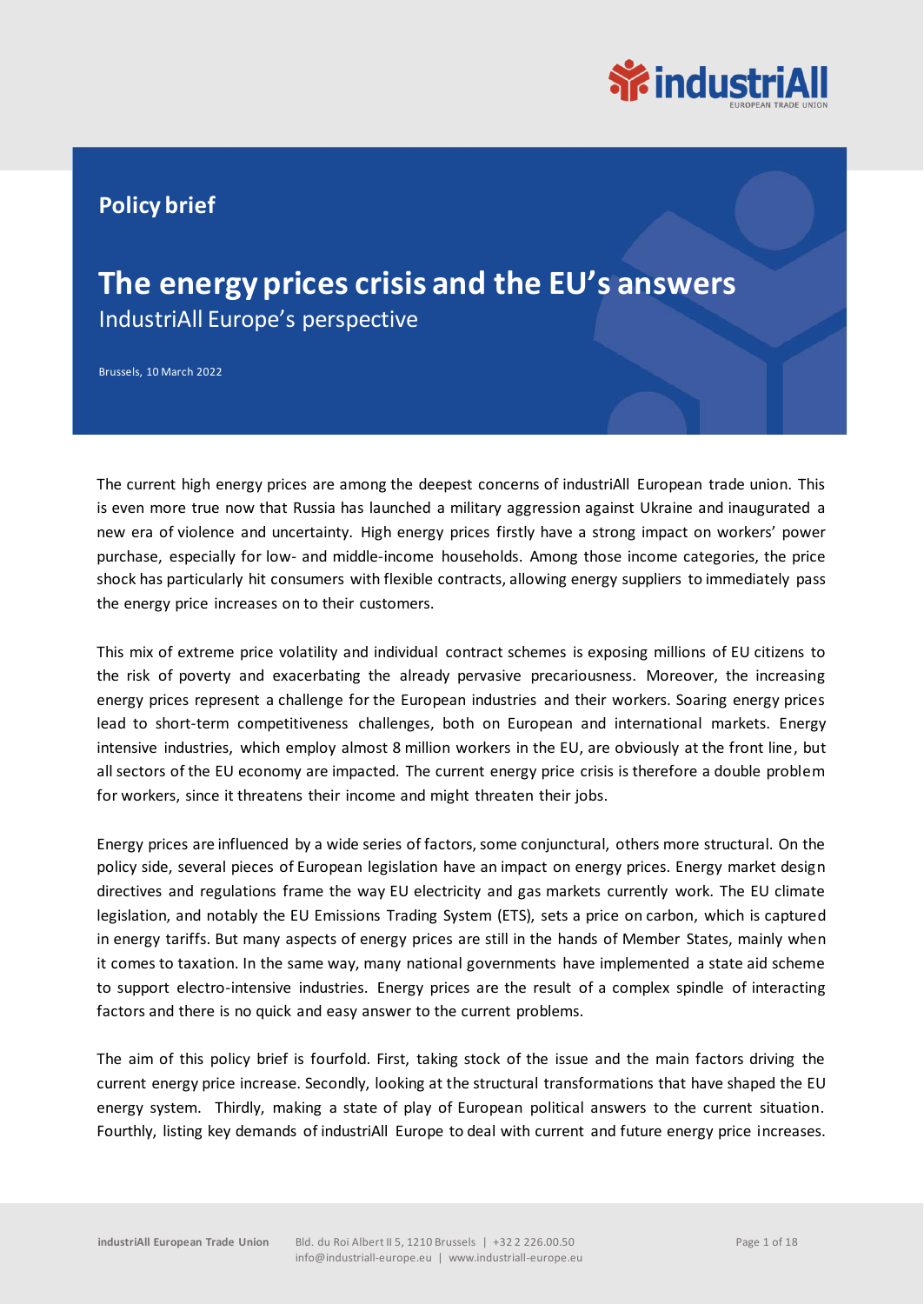

### **Policy brief**

### **The energy prices crisis and the EU's answers** IndustriAll Europe's perspective

Brussels, 10 March 2022

The current high energy prices are among the deepest concerns of industriAll European trade union. This is even more true now that Russia has launched a military aggression against Ukraine and inaugurated a new era of violence and uncertainty. High energy prices firstly have a strong impact on workers' power purchase, especially for low- and middle-income households. Among those income categories, the price shock has particularly hit consumers with flexible contracts, allowing energy suppliers to immediately pass the energy price increases on to their customers.

This mix of extreme price volatility and individual contract schemes is exposing millions of EU citizens to the risk of poverty and exacerbating the already pervasive precariousness. Moreover, the increasing energy prices represent a challenge for the European industries and their workers. Soaring energy prices lead to short-term competitiveness challenges, both on European and international markets. Energy intensive industries, which employ almost 8 million workers in the EU, are obviously at the front line, but all sectors of the EU economy are impacted. The current energy price crisis is therefore a double problem for workers, since it threatens their income and might threaten their jobs.

Energy prices are influenced by a wide series of factors, some conjunctural, others more structural. On the policy side, several pieces of European legislation have an impact on energy prices. Energy market design directives and regulations frame the way EU electricity and gas markets currently work. The EU climate legislation, and notably the EU Emissions Trading System (ETS), sets a price on carbon, which is captured in energy tariffs. But many aspects of energy prices are still in the hands of Member States, mainly when it comes to taxation. In the same way, many national governments have implemented a state aid scheme to support electro-intensive industries. Energy prices are the result of a complex spindle of interacting factors and there is no quick and easy answer to the current problems.

The aim of this policy brief is fourfold. First, taking stock of the issue and the main factors driving the current energy price increase. Secondly, looking at the structural transformations that have shaped the EU energy system. Thirdly, making a state of play of European political answers to the current situation. Fourthly, listing key demands of industriAll Europe to deal with current and future energy price increases.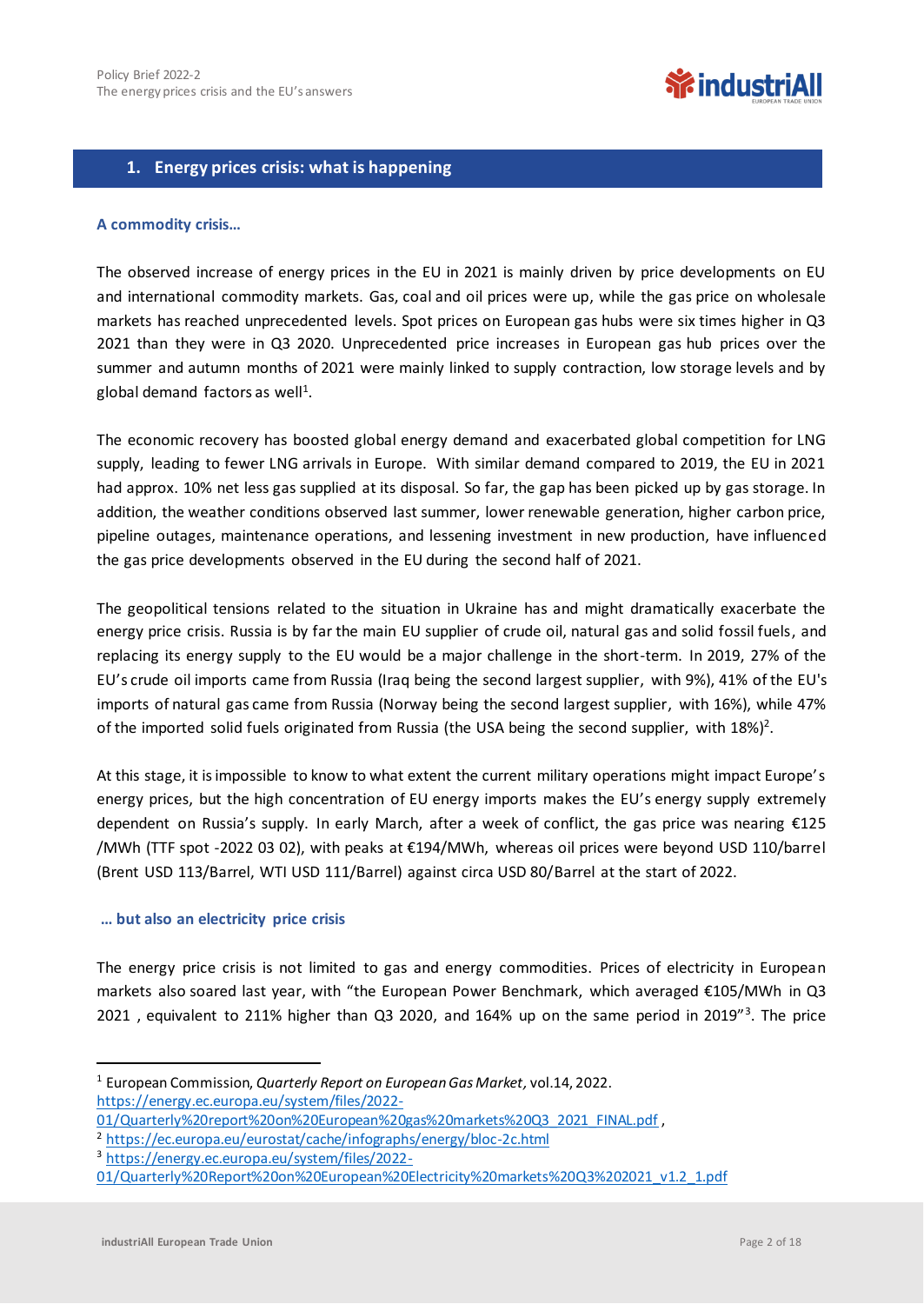## **WindustriAll**

#### **1. Energy prices crisis: what is happening**

#### **A commodity crisis…**

The observed increase of energy prices in the EU in 2021 is mainly driven by price developments on EU and international commodity markets. Gas, coal and oil prices were up, while the gas price on wholesale markets has reached unprecedented levels. Spot prices on European gas hubs were six times higher in Q3 2021 than they were in Q3 2020. Unprecedented price increases in European gas hub prices over the summer and autumn months of 2021 were mainly linked to supply contraction, low storage levels and by global demand factors as well<sup>1</sup>.

The economic recovery has boosted global energy demand and exacerbated global competition for LNG supply, leading to fewer LNG arrivals in Europe. With similar demand compared to 2019, the EU in 2021 had approx. 10% net less gas supplied at its disposal. So far, the gap has been picked up by gas storage. In addition, the weather conditions observed last summer, lower renewable generation, higher carbon price, pipeline outages, maintenance operations, and lessening investment in new production, have influenced the gas price developments observed in the EU during the second half of 2021.

The geopolitical tensions related to the situation in Ukraine has and might dramatically exacerbate the energy price crisis. Russia is by far the main EU supplier of crude oil, natural gas and solid fossil fuels, and replacing its energy supply to the EU would be a major challenge in the short-term. In 2019, 27% of the EU's crude oil imports came from Russia (Iraq being the second largest supplier, with 9%), 41% of the EU's imports of natural gas came from Russia (Norway being the second largest supplier, with 16%), while 47% of the imported solid fuels originated from Russia (the USA being the second supplier, with 18%)<sup>2</sup>.

At this stage, it is impossible to know to what extent the current military operations might impact Europe's energy prices, but the high concentration of EU energy imports makes the EU's energy supply extremely dependent on Russia's supply. In early March, after a week of conflict, the gas price was nearing €125 /MWh (TTF spot -2022 03 02), with peaks at €194/MWh, whereas oil prices were beyond USD 110/barrel (Brent USD 113/Barrel, WTI USD 111/Barrel) against circa USD 80/Barrel at the start of 2022.

#### **… but also an electricity price crisis**

The energy price crisis is not limited to gas and energy commodities. Prices of electricity in European markets also soared last year, with "the European Power Benchmark, which averaged €105/MWh in Q3 2021, equivalent to 211% higher than Q3 2020, and 164% up on the same period in 2019"<sup>3</sup>. The price

<sup>1</sup> European Commission, *Quarterly Report on European Gas Market,* vol.14, 2022. [https://energy.ec.europa.eu/system/files/2022-](https://energy.ec.europa.eu/system/files/2022-01/Quarterly%20report%20on%20European%20gas%20markets%20Q3_2021_FINAL.pdf)

[<sup>01/</sup>Quarterly%20report%20on%20European%20gas%20markets%20Q3\\_2021\\_FINAL.pdf](https://energy.ec.europa.eu/system/files/2022-01/Quarterly%20report%20on%20European%20gas%20markets%20Q3_2021_FINAL.pdf) ,

<sup>2</sup> <https://ec.europa.eu/eurostat/cache/infographs/energy/bloc-2c.html>

<sup>3</sup> [https://energy.ec.europa.eu/system/files/2022-](https://energy.ec.europa.eu/system/files/2022-01/Quarterly%20Report%20on%20European%20Electricity%20markets%20Q3%202021_v1.2_1.pdf)

[<sup>01/</sup>Quarterly%20Report%20on%20European%20Electricity%20markets%20Q3%202021\\_v1.2\\_1.pdf](https://energy.ec.europa.eu/system/files/2022-01/Quarterly%20Report%20on%20European%20Electricity%20markets%20Q3%202021_v1.2_1.pdf)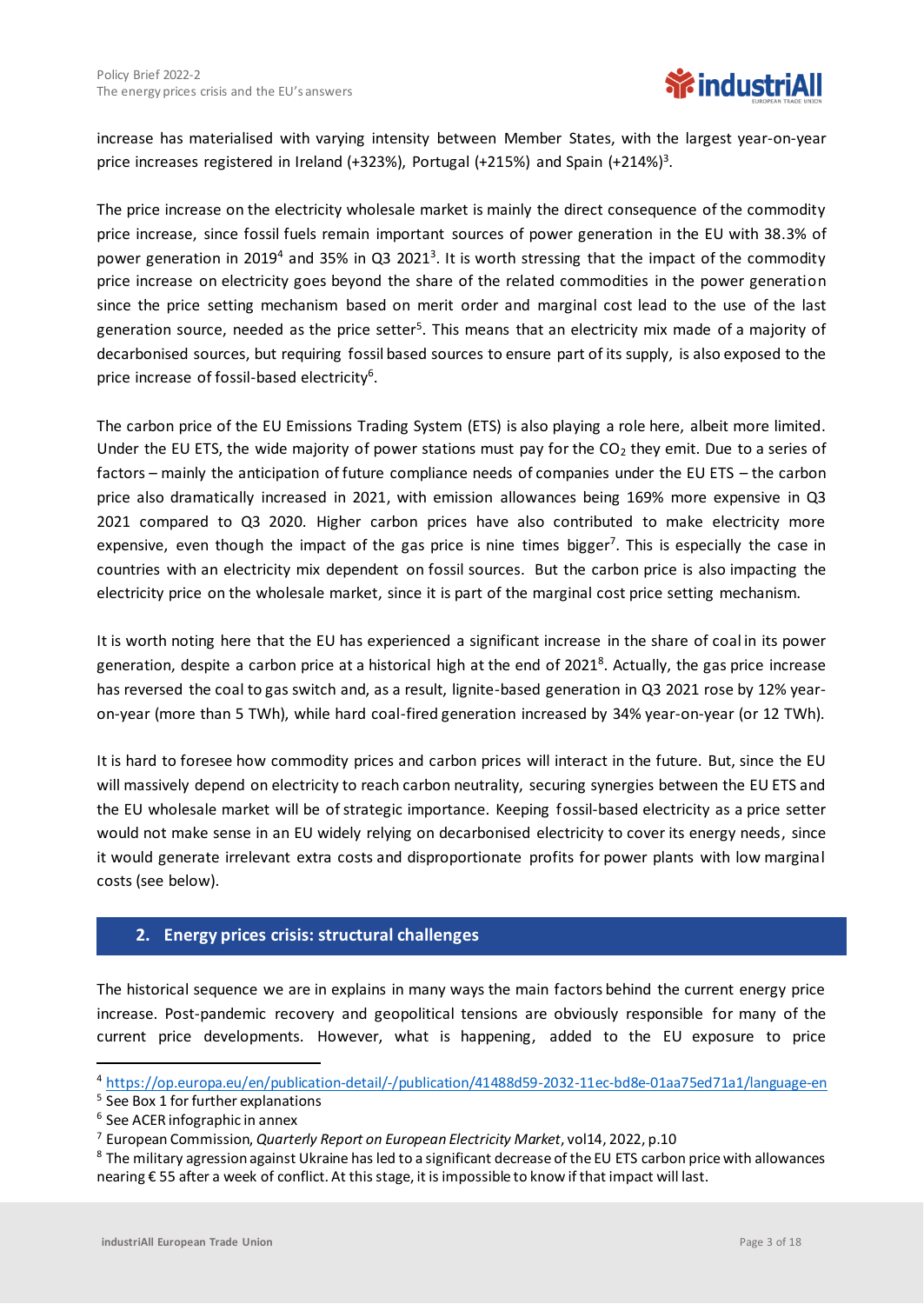

increase has materialised with varying intensity between Member States, with the largest year-on-year price increases registered in Ireland (+323%), Portugal (+215%) and Spain (+214%)<sup>3</sup>.

The price increase on the electricity wholesale market is mainly the direct consequence of the commodity price increase, since fossil fuels remain important sources of power generation in the EU with 38.3% of power generation in 2019<sup>4</sup> and 35% in Q3 2021<sup>3</sup>. It is worth stressing that the impact of the commodity price increase on electricity goes beyond the share of the related commodities in the power generation since the price setting mechanism based on merit order and marginal cost lead to the use of the last generation source, needed as the price setter<sup>5</sup>. This means that an electricity mix made of a majority of decarbonised sources, but requiring fossil based sources to ensure part of its supply, is also exposed to the price increase of fossil-based electricity<sup>6</sup>.

The carbon price of the EU Emissions Trading System (ETS) is also playing a role here, albeit more limited. Under the EU ETS, the wide majority of power stations must pay for the  $CO<sub>2</sub>$  they emit. Due to a series of factors – mainly the anticipation of future compliance needs of companies under the EU ETS – the carbon price also dramatically increased in 2021, with emission allowances being 169% more expensive in Q3 2021 compared to Q3 2020. Higher carbon prices have also contributed to make electricity more expensive, even though the impact of the gas price is nine times bigger<sup>7</sup>. This is especially the case in countries with an electricity mix dependent on fossil sources. But the carbon price is also impacting the electricity price on the wholesale market, since it is part of the marginal cost price setting mechanism.

It is worth noting here that the EU has experienced a significant increase in the share of coal in its power generation, despite a carbon price at a historical high at the end of 2021<sup>8</sup>. Actually, the gas price increase has reversed the coal to gas switch and, as a result, lignite-based generation in Q3 2021 rose by 12% yearon-year (more than 5 TWh), while hard coal-fired generation increased by 34% year-on-year (or 12 TWh).

It is hard to foresee how commodity prices and carbon prices will interact in the future. But, since the EU will massively depend on electricity to reach carbon neutrality, securing synergies between the EU ETS and the EU wholesale market will be of strategic importance. Keeping fossil-based electricity as a price setter would not make sense in an EU widely relying on decarbonised electricity to cover its energy needs, since it would generate irrelevant extra costs and disproportionate profits for power plants with low marginal costs (see below).

#### **2. Energy prices crisis: structural challenges**

The historical sequence we are in explains in many ways the main factors behind the current energy price increase. Post-pandemic recovery and geopolitical tensions are obviously responsible for many of the current price developments. However, what is happening, added to the EU exposure to price

<sup>4</sup> <https://op.europa.eu/en/publication-detail/-/publication/41488d59-2032-11ec-bd8e-01aa75ed71a1/language-en>

<sup>5</sup> See Box 1 for further explanations

<sup>6</sup> See ACER infographic in annex

<sup>7</sup> European Commission, *Quarterly Report on European Electricity Market*, vol14, 2022, p.10

<sup>8</sup> The military agression against Ukraine has led to a significant decrease of the EU ETS carbon price with allowances nearing € 55 after a week of conflict. At this stage, it is impossible to know if that impact will last.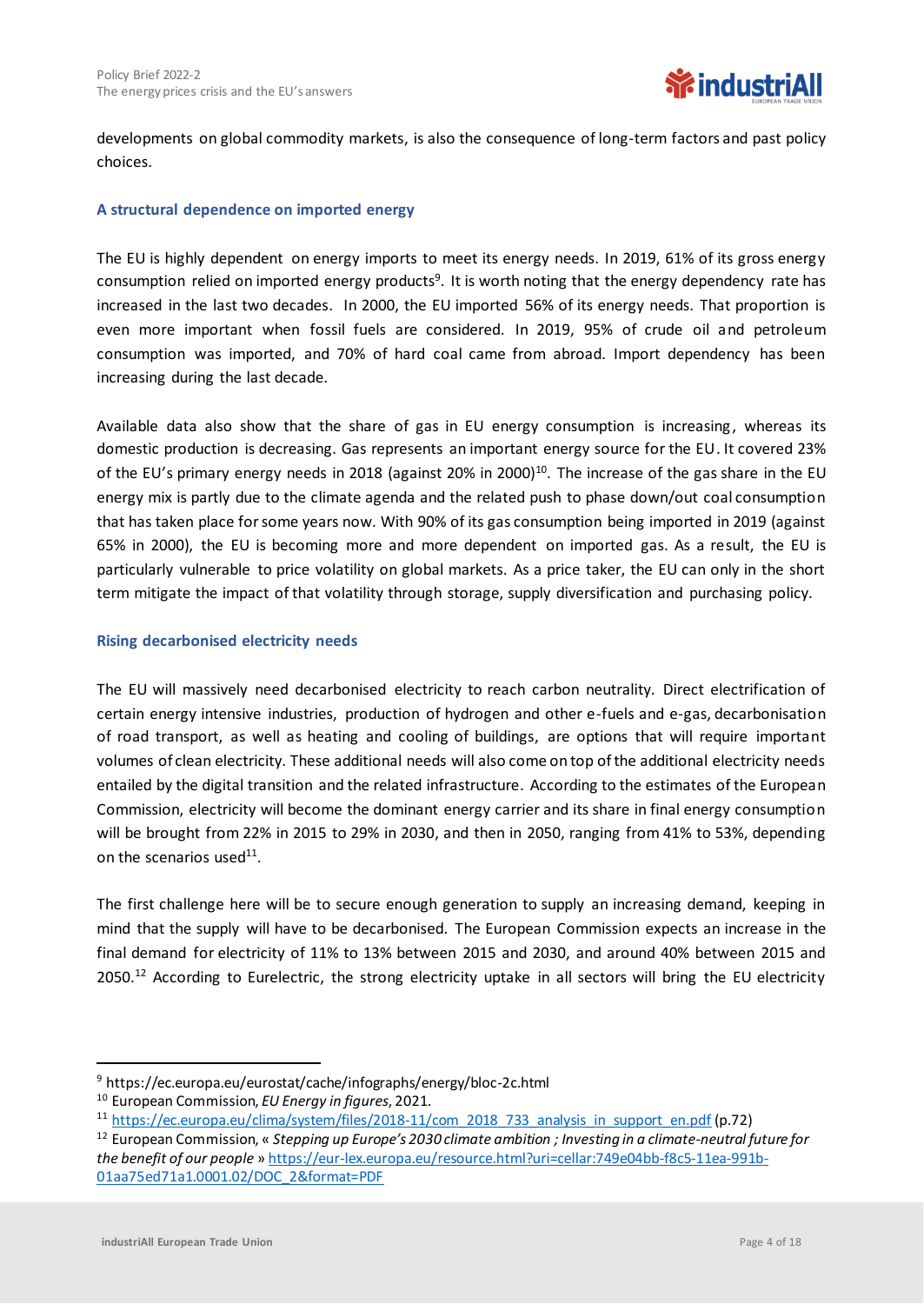

developments on global commodity markets, is also the consequence of long-term factors and past policy choices.

#### **A structural dependence on imported energy**

The EU is highly dependent on energy imports to meet its energy needs. In 2019, 61% of its gross energy consumption relied on imported energy products<sup>9</sup>. It is worth noting that the energy dependency rate has increased in the last two decades. In 2000, the EU imported 56% of its energy needs. That proportion is even more important when fossil fuels are considered. In 2019, 95% of crude oil and petroleum consumption was imported, and 70% of hard coal came from abroad. Import dependency has been increasing during the last decade.

Available data also show that the share of gas in EU energy consumption is increasing, whereas its domestic production is decreasing. Gas represents an important energy source for the EU. It covered 23% of the EU's primary energy needs in 2018 (against 20% in 2000)<sup>10</sup>. The increase of the gas share in the EU energy mix is partly due to the climate agenda and the related push to phase down/out coal consumption that has taken place for some years now. With 90% of its gas consumption being imported in 2019 (against 65% in 2000), the EU is becoming more and more dependent on imported gas. As a result, the EU is particularly vulnerable to price volatility on global markets. As a price taker, the EU can only in the short term mitigate the impact of that volatility through storage, supply diversification and purchasing policy.

#### **Rising decarbonised electricity needs**

The EU will massively need decarbonised electricity to reach carbon neutrality. Direct electrification of certain energy intensive industries, production of hydrogen and other e-fuels and e-gas, decarbonisation of road transport, as well as heating and cooling of buildings, are options that will require important volumes of clean electricity. These additional needs will also come on top of the additional electricity needs entailed by the digital transition and the related infrastructure. According to the estimates of the European Commission, electricity will become the dominant energy carrier and its share in final energy consumption will be brought from 22% in 2015 to 29% in 2030, and then in 2050, ranging from 41% to 53%, depending on the scenarios used<sup>11</sup>.

The first challenge here will be to secure enough generation to supply an increasing demand, keeping in mind that the supply will have to be decarbonised. The European Commission expects an increase in the final demand for electricity of 11% to 13% between 2015 and 2030, and around 40% between 2015 and 2050.<sup>12</sup> According to Eurelectric, the strong electricity uptake in all sectors will bring the EU electricity

<sup>9</sup> https://ec.europa.eu/eurostat/cache/infographs/energy/bloc-2c.html

<sup>10</sup> European Commission, *EU Energy in figures*, 2021.

<sup>&</sup>lt;sup>11</sup> [https://ec.europa.eu/clima/system/files/2018-11/com\\_2018\\_733\\_analysis\\_in\\_support\\_en.pdf](https://ec.europa.eu/clima/system/files/2018-11/com_2018_733_analysis_in_support_en.pdf) (p.72)

<sup>12</sup> European Commission, « *Stepping up Europe's 2030 climate ambition ; Investing in a climate-neutral future for the benefit of our people* » [https://eur-lex.europa.eu/resource.html?uri=cellar:749e04bb-f8c5-11ea-991b-](https://eur-lex.europa.eu/resource.html?uri=cellar:749e04bb-f8c5-11ea-991b-01aa75ed71a1.0001.02/DOC_2&format=PDF)[01aa75ed71a1.0001.02/DOC\\_2&format=PDF](https://eur-lex.europa.eu/resource.html?uri=cellar:749e04bb-f8c5-11ea-991b-01aa75ed71a1.0001.02/DOC_2&format=PDF)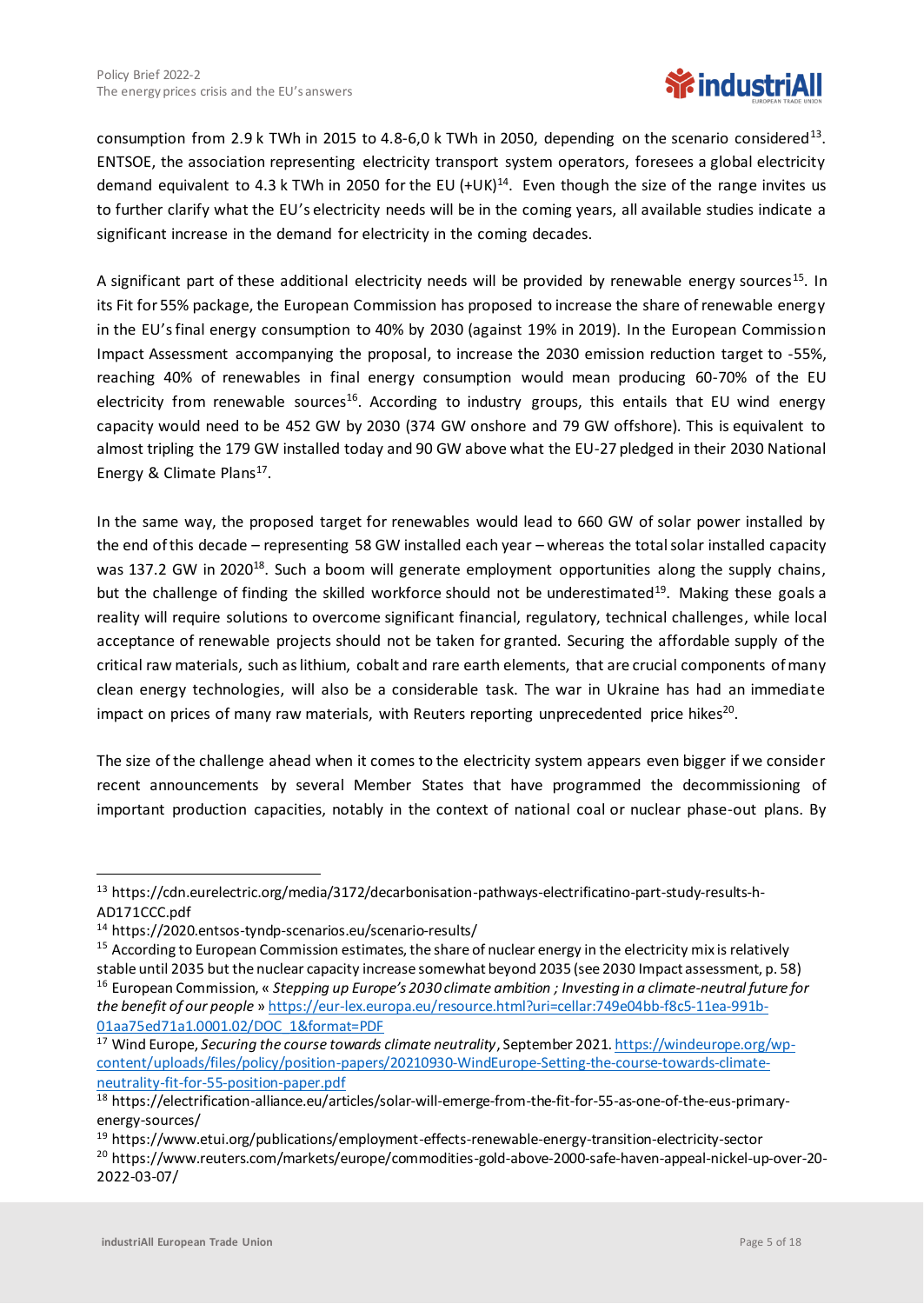# **WindustriAll**

consumption from 2.9 k TWh in 2015 to 4.8-6,0 k TWh in 2050, depending on the scenario considered<sup>13</sup>. ENTSOE, the association representing electricity transport system operators, foresees a global electricity demand equivalent to 4.3 k TWh in 2050 for the EU  $(+UK)^{14}$ . Even though the size of the range invites us to further clarify what the EU's electricity needs will be in the coming years, all available studies indicate a significant increase in the demand for electricity in the coming decades.

A significant part of these additional electricity needs will be provided by renewable energy sources<sup>15</sup>. In its Fit for 55% package, the European Commission has proposed to increase the share of renewable energy in the EU'sfinal energy consumption to 40% by 2030 (against 19% in 2019). In the European Commission Impact Assessment accompanying the proposal, to increase the 2030 emission reduction target to -55%, reaching 40% of renewables in final energy consumption would mean producing 60-70% of the EU electricity from renewable sources<sup>16</sup>. According to industry groups, this entails that EU wind energy capacity would need to be 452 GW by 2030 (374 GW onshore and 79 GW offshore). This is equivalent to almost tripling the 179 GW installed today and 90 GW above what the EU-27 pledged in their 2030 National Energy & Climate Plans<sup>17</sup>.

In the same way, the proposed target for renewables would lead to 660 GW of solar power installed by the end of this decade – representing 58 GW installed each year – whereas the total solar installed capacity was 137.2 GW in 2020<sup>18</sup>. Such a boom will generate employment opportunities along the supply chains, but the challenge of finding the skilled workforce should not be underestimated<sup>19</sup>. Making these goals a reality will require solutions to overcome significant financial, regulatory, technical challenges, while local acceptance of renewable projects should not be taken for granted. Securing the affordable supply of the critical raw materials, such as lithium, cobalt and rare earth elements, that are crucial components of many clean energy technologies, will also be a considerable task. The war in Ukraine has had an immediate impact on prices of many raw materials, with Reuters reporting unprecedented price hikes<sup>20</sup>.

The size of the challenge ahead when it comes to the electricity system appears even bigger if we consider recent announcements by several Member States that have programmed the decommissioning of important production capacities, notably in the context of national coal or nuclear phase-out plans. By

<sup>&</sup>lt;sup>13</sup> https://cdn.eurelectric.org/media/3172/decarbonisation-pathways-electrificatino-part-study-results-h-AD171CCC.pdf

<sup>14</sup> https://2020.entsos-tyndp-scenarios.eu/scenario-results/

<sup>&</sup>lt;sup>15</sup> According to European Commission estimates, the share of nuclear energy in the electricity mix is relatively stable until 2035 but the nuclear capacity increase somewhat beyond 2035 (see 2030 Impact assessment, p. 58) <sup>16</sup> European Commission, « *Stepping up Europe's 2030 climate ambition ; Investing in a climate-neutral future for the benefit of our people* » [https://eur-lex.europa.eu/resource.html?uri=cellar:749e04bb-f8c5-11ea-991b-](https://eur-lex.europa.eu/resource.html?uri=cellar:749e04bb-f8c5-11ea-991b-01aa75ed71a1.0001.02/DOC_1&format=PDF)[01aa75ed71a1.0001.02/DOC\\_1&format=PDF](https://eur-lex.europa.eu/resource.html?uri=cellar:749e04bb-f8c5-11ea-991b-01aa75ed71a1.0001.02/DOC_1&format=PDF)

<sup>17</sup> Wind Europe, *Securing the course towards climate neutrality*, September 202[1. https://windeurope.org/wp](https://windeurope.org/wp-content/uploads/files/policy/position-papers/20210930-WindEurope-Setting-the-course-towards-climate-neutrality-fit-for-55-position-paper.pdf)[content/uploads/files/policy/position-papers/20210930-WindEurope-Setting-the-course-towards-climate](https://windeurope.org/wp-content/uploads/files/policy/position-papers/20210930-WindEurope-Setting-the-course-towards-climate-neutrality-fit-for-55-position-paper.pdf)[neutrality-fit-for-55-position-paper.pdf](https://windeurope.org/wp-content/uploads/files/policy/position-papers/20210930-WindEurope-Setting-the-course-towards-climate-neutrality-fit-for-55-position-paper.pdf)

<sup>18</sup> https://electrification-alliance.eu/articles/solar-will-emerge-from-the-fit-for-55-as-one-of-the-eus-primaryenergy-sources/

<sup>19</sup> https://www.etui.org/publications/employment-effects-renewable-energy-transition-electricity-sector

<sup>20</sup> https://www.reuters.com/markets/europe/commodities-gold-above-2000-safe-haven-appeal-nickel-up-over-20- 2022-03-07/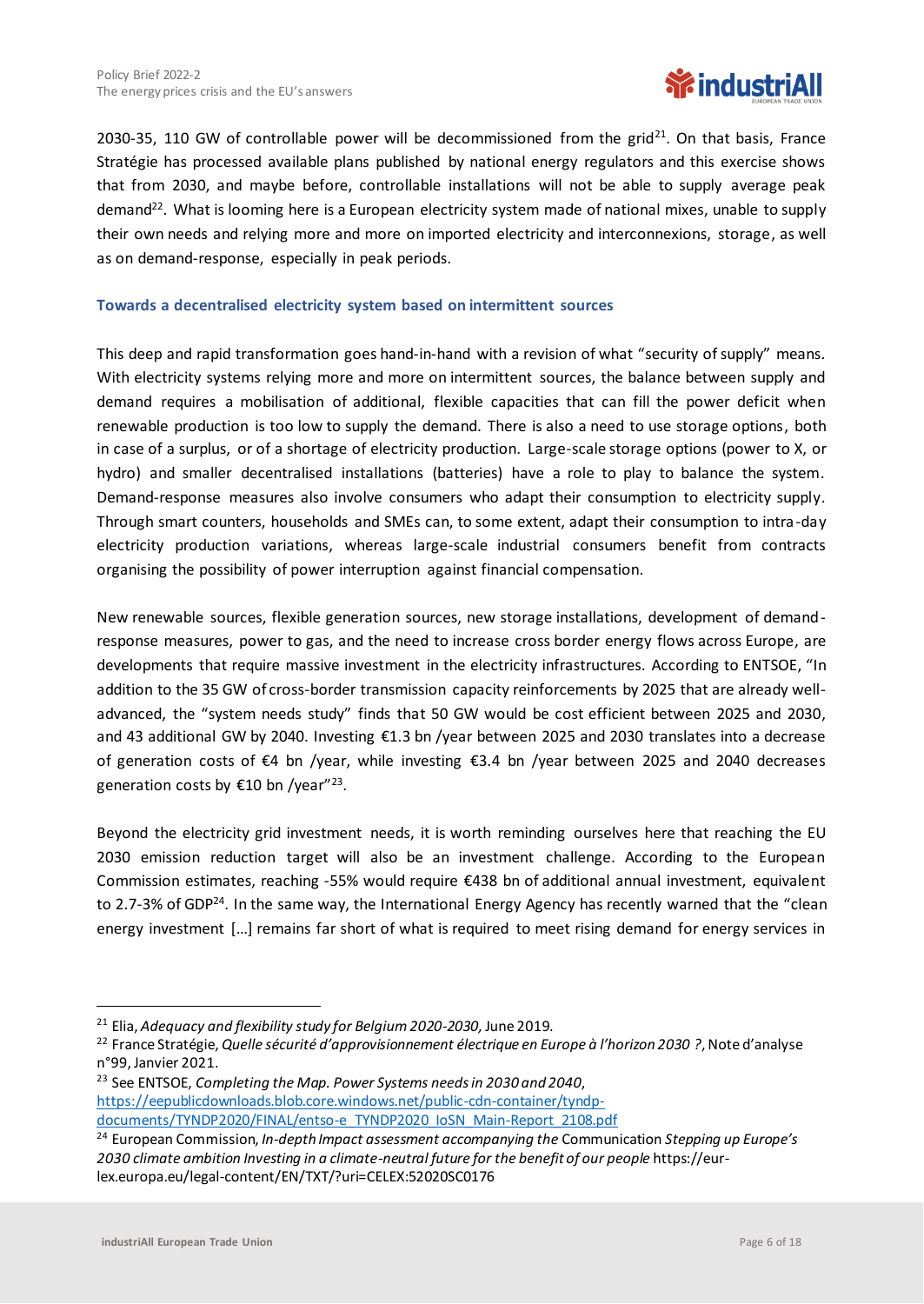

2030-35, 110 GW of controllable power will be decommissioned from the grid<sup>21</sup>. On that basis, France Stratégie has processed available plans published by national energy regulators and this exercise shows that from 2030, and maybe before, controllable installations will not be able to supply average peak demand<sup>22</sup>. What is looming here is a European electricity system made of national mixes, unable to supply their own needs and relying more and more on imported electricity and interconnexions, storage, as well as on demand-response, especially in peak periods.

#### **Towards a decentralised electricity system based on intermittent sources**

This deep and rapid transformation goes hand-in-hand with a revision of what "security of supply" means. With electricity systems relying more and more on intermittent sources, the balance between supply and demand requires a mobilisation of additional, flexible capacities that can fill the power deficit when renewable production is too low to supply the demand. There is also a need to use storage options, both in case of a surplus, or of a shortage of electricity production. Large-scale storage options (power to X, or hydro) and smaller decentralised installations (batteries) have a role to play to balance the system. Demand-response measures also involve consumers who adapt their consumption to electricity supply. Through smart counters, households and SMEs can, to some extent, adapt their consumption to intra-day electricity production variations, whereas large-scale industrial consumers benefit from contracts organising the possibility of power interruption against financial compensation.

New renewable sources, flexible generation sources, new storage installations, development of demandresponse measures, power to gas, and the need to increase cross border energy flows across Europe, are developments that require massive investment in the electricity infrastructures. According to ENTSOE, "In addition to the 35 GW of cross-border transmission capacity reinforcements by 2025 that are already welladvanced, the "system needs study" finds that 50 GW would be cost efficient between 2025 and 2030, and 43 additional GW by 2040. Investing €1.3 bn /year between 2025 and 2030 translates into a decrease of generation costs of €4 bn /year, while investing €3.4 bn /year between 2025 and 2040 decreases generation costs by €10 bn /year"<sup>23</sup>.

Beyond the electricity grid investment needs, it is worth reminding ourselves here that reaching the EU 2030 emission reduction target will also be an investment challenge. According to the European Commission estimates, reaching -55% would require €438 bn of additional annual investment, equivalent to 2.7-3% of GDP<sup>24</sup>. In the same way, the International Energy Agency has recently warned that the "clean energy investment […] remains far short of what is required to meet rising demand for energy services in

<sup>23</sup> See ENTSOE, *Completing the Map. Power Systems needs in 2030 and 2040*, [https://eepublicdownloads.blob.core.windows.net/public-cdn-container/tyndp](https://eepublicdownloads.blob.core.windows.net/public-cdn-container/tyndp-documents/TYNDP2020/FINAL/entso-e_TYNDP2020_IoSN_Main-Report_2108.pdf)[documents/TYNDP2020/FINAL/entso-e\\_TYNDP2020\\_IoSN\\_Main-Report\\_2108.pdf](https://eepublicdownloads.blob.core.windows.net/public-cdn-container/tyndp-documents/TYNDP2020/FINAL/entso-e_TYNDP2020_IoSN_Main-Report_2108.pdf)

<sup>21</sup> Elia, *Adequacy and flexibility study for Belgium 2020-2030,* June 2019.

<sup>22</sup> France Stratégie, *Quelle sécurité d'approvisionnement électrique en Europe à l'horizon 2030 ?*, Note d'analyse n°99, Janvier 2021.

<sup>24</sup> European Commission, *In-depth Impact assessment accompanying the* Communication *Stepping up Europe's 2030 climate ambition Investing in a climate-neutral future for the benefit of our people* https://eurlex.europa.eu/legal-content/EN/TXT/?uri=CELEX:52020SC0176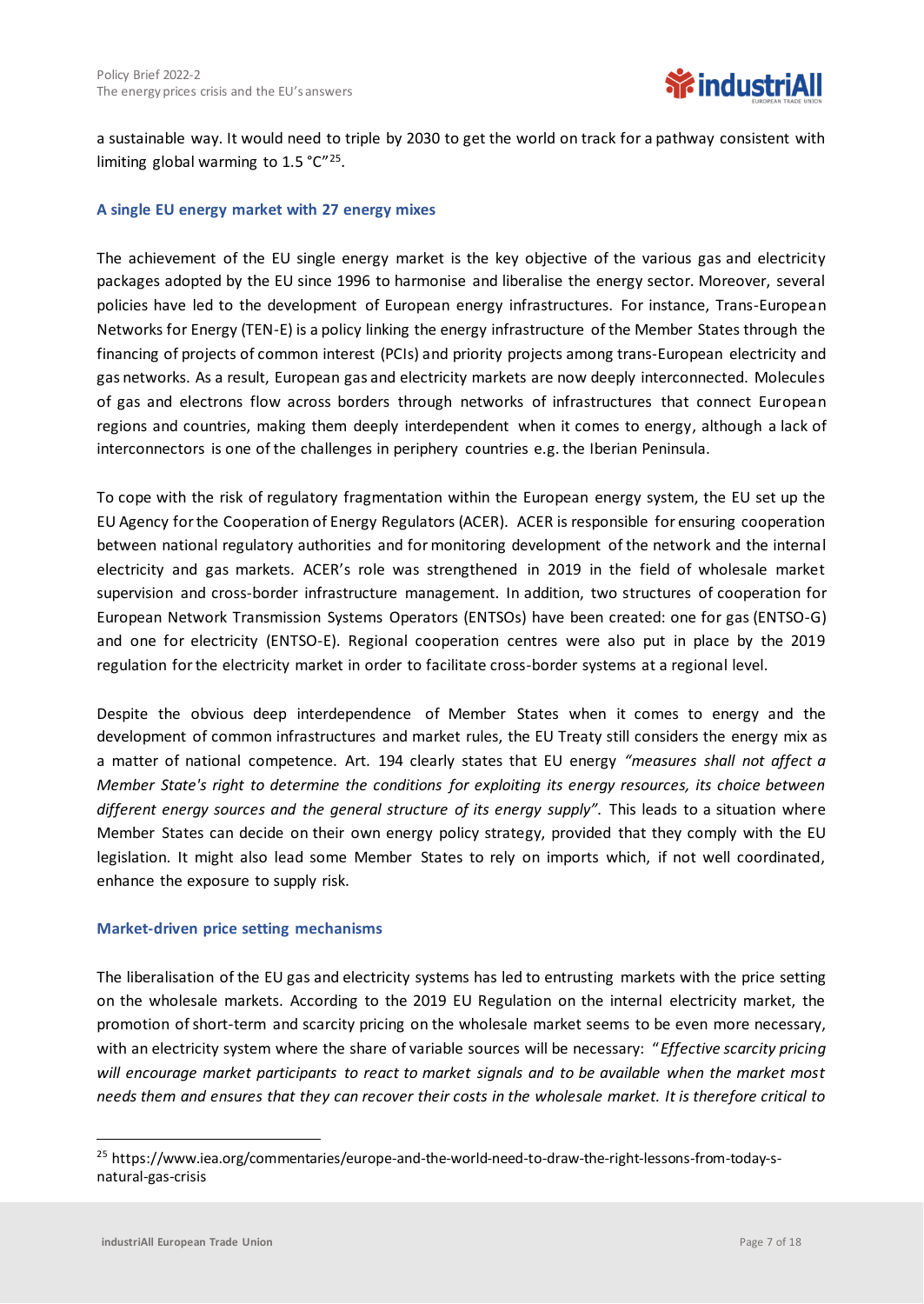a sustainable way. It would need to triple by 2030 to get the world on track for a pathway consistent with limiting global warming to  $1.5 \text{ °C}^{\prime\prime 25}$ .

#### **A single EU energy market with 27 energy mixes**

The achievement of the EU single energy market is the key objective of the various gas and electricity packages adopted by the EU since 1996 to harmonise and liberalise the energy sector. Moreover, several policies have led to the development of European energy infrastructures. For instance, Trans-European Networks for Energy (TEN-E) is a policy linking the energy infrastructure of the Member States through the financing of projects of common interest (PCIs) and priority projects among trans-European electricity and gas networks. As a result, European gas and electricity markets are now deeply interconnected. Molecules of gas and electrons flow across borders through networks of infrastructures that connect European regions and countries, making them deeply interdependent when it comes to energy, although a lack of interconnectors is one of the challenges in periphery countries e.g. the Iberian Peninsula.

To cope with the risk of regulatory fragmentation within the European energy system, the EU set up the EU Agency for the Cooperation of Energy Regulators (ACER). ACER is responsible for ensuring cooperation between national regulatory authorities and for monitoring development of the network and the internal electricity and gas markets. ACER's role was strengthened in 2019 in the field of wholesale market supervision and cross-border infrastructure management. In addition, two structures of cooperation for European Network Transmission Systems Operators (ENTSOs) have been created: one for gas (ENTSO-G) and one for electricity (ENTSO-E). Regional cooperation centres were also put in place by the 2019 regulation for the electricity market in order to facilitate cross-border systems at a regional level.

Despite the obvious deep interdependence of Member States when it comes to energy and the development of common infrastructures and market rules, the EU Treaty still considers the energy mix as a matter of national competence. Art. 194 clearly states that EU energy *"measures shall not affect a Member State's right to determine the conditions for exploiting its energy resources, its choice between*  different energy sources and the general structure of its energy supply". This leads to a situation where Member States can decide on their own energy policy strategy, provided that they comply with the EU legislation. It might also lead some Member States to rely on imports which, if not well coordinated, enhance the exposure to supply risk.

#### **Market-driven price setting mechanisms**

The liberalisation of the EU gas and electricity systems has led to entrusting markets with the price setting on the wholesale markets. According to the 2019 EU Regulation on the internal electricity market, the promotion of short-term and scarcity pricing on the wholesale market seems to be even more necessary, with an electricity system where the share of variable sources will be necessary: "*Effective scarcity pricing will encourage market participants to react to market signals and to be available when the market most needs them and ensures that they can recover their costs in the wholesale market. It is therefore critical to* 

<sup>25</sup> https://www.iea.org/commentaries/europe-and-the-world-need-to-draw-the-right-lessons-from-today-snatural-gas-crisis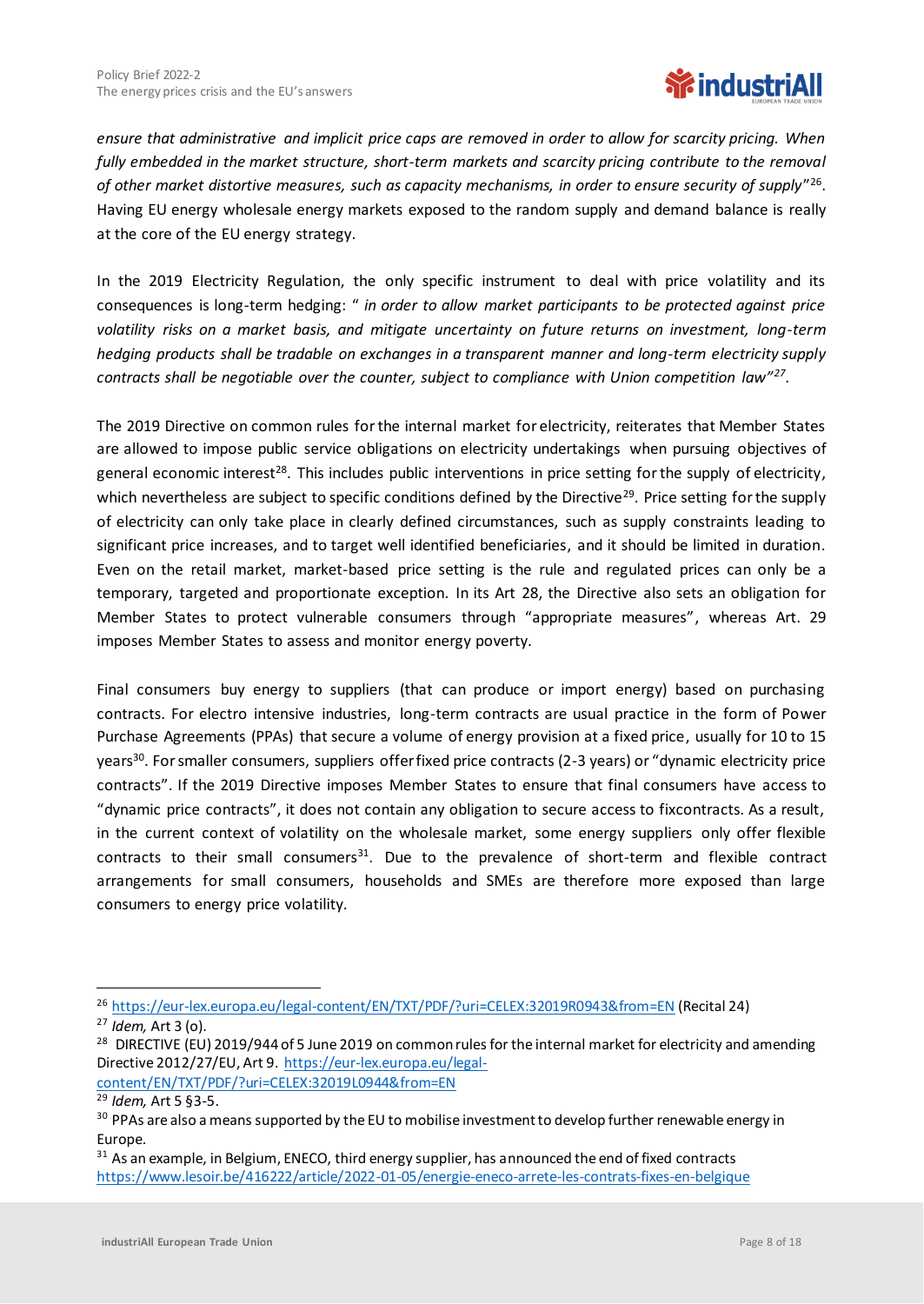

*ensure that administrative and implicit price caps are removed in order to allow for scarcity pricing. When fully embedded in the market structure, short-term markets and scarcity pricing contribute to the removal of other market distortive measures, such as capacity mechanisms, in order to ensure security of supply*" 26 . Having EU energy wholesale energy markets exposed to the random supply and demand balance is really at the core of the EU energy strategy.

In the 2019 Electricity Regulation, the only specific instrument to deal with price volatility and its consequences is long-term hedging: " *in order to allow market participants to be protected against price volatility risks on a market basis, and mitigate uncertainty on future returns on investment, long-term hedging products shall be tradable on exchanges in a transparent manner and long-term electricity supply contracts shall be negotiable over the counter, subject to compliance with Union competition law"<sup>27</sup>* .

The 2019 Directive on common rules for the internal market for electricity, reiterates that Member States are allowed to impose public service obligations on electricity undertakings when pursuing objectives of general economic interest<sup>28</sup>. This includes public interventions in price setting for the supply of electricity, which nevertheless are subject to specific conditions defined by the Directive<sup>29</sup>. Price setting for the supply of electricity can only take place in clearly defined circumstances, such as supply constraints leading to significant price increases, and to target well identified beneficiaries, and it should be limited in duration. Even on the retail market, market-based price setting is the rule and regulated prices can only be a temporary, targeted and proportionate exception. In its Art 28, the Directive also sets an obligation for Member States to protect vulnerable consumers through "appropriate measures", whereas Art. 29 imposes Member States to assess and monitor energy poverty.

Final consumers buy energy to suppliers (that can produce or import energy) based on purchasing contracts. For electro intensive industries, long-term contracts are usual practice in the form of Power Purchase Agreements (PPAs) that secure a volume of energy provision at a fixed price, usually for 10 to 15 years<sup>30</sup>. For smaller consumers, suppliers offer fixed price contracts (2-3 years) or "dynamic electricity price contracts". If the 2019 Directive imposes Member States to ensure that final consumers have access to "dynamic price contracts", it does not contain any obligation to secure access to fixcontracts. As a result, in the current context of volatility on the wholesale market, some energy suppliers only offer flexible contracts to their small consumers $31$ . Due to the prevalence of short-term and flexible contract arrangements for small consumers, households and SMEs are therefore more exposed than large consumers to energy price volatility.

[content/EN/TXT/PDF/?uri=CELEX:32019L0944&from=EN](https://eur-lex.europa.eu/legal-content/EN/TXT/PDF/?uri=CELEX:32019L0944&from=EN)

<sup>26</sup> <https://eur-lex.europa.eu/legal-content/EN/TXT/PDF/?uri=CELEX:32019R0943&from=EN> (Recital 24)

<sup>27</sup> *Idem,* Art 3 (o).

<sup>&</sup>lt;sup>28</sup> DIRECTIVE (EU) 2019/944 of 5 June 2019 on common rules for the internal market for electricity and amending Directive 2012/27/EU, Art 9. [https://eur-lex.europa.eu/legal-](https://eur-lex.europa.eu/legal-content/EN/TXT/PDF/?uri=CELEX:32019L0944&from=EN)

<sup>29</sup> *Idem,* Art 5 §3-5.

<sup>&</sup>lt;sup>30</sup> PPAs are also a means supported by the EU to mobilise investment to develop further renewable energy in Europe.

<sup>&</sup>lt;sup>31</sup> As an example, in Belgium, ENECO, third energy supplier, has announced the end of fixed contracts <https://www.lesoir.be/416222/article/2022-01-05/energie-eneco-arrete-les-contrats-fixes-en-belgique>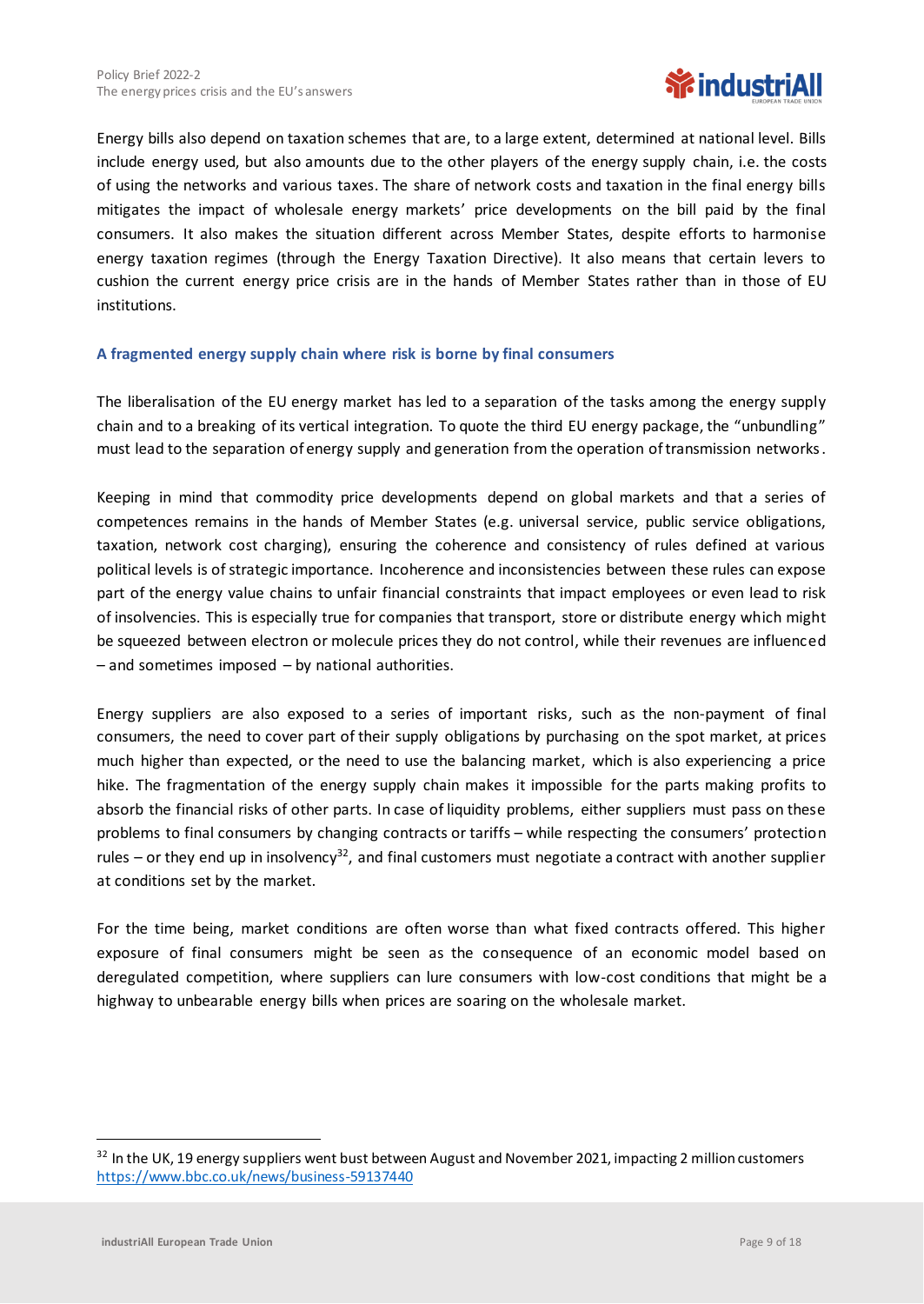

Energy bills also depend on taxation schemes that are, to a large extent, determined at national level. Bills include energy used, but also amounts due to the other players of the energy supply chain, i.e. the costs of using the networks and various taxes. The share of network costs and taxation in the final energy bills mitigates the impact of wholesale energy markets' price developments on the bill paid by the final consumers. It also makes the situation different across Member States, despite efforts to harmonise energy taxation regimes (through the Energy Taxation Directive). It also means that certain levers to cushion the current energy price crisis are in the hands of Member States rather than in those of EU institutions.

#### **A fragmented energy supply chain where risk is borne by final consumers**

The liberalisation of the EU energy market has led to a separation of the tasks among the energy supply chain and to a breaking of its vertical integration. To quote the third EU energy package, the "unbundling" must lead to the separation of energy supply and generation from the operation of transmission networks.

Keeping in mind that commodity price developments depend on global markets and that a series of competences remains in the hands of Member States (e.g. universal service, public service obligations, taxation, network cost charging), ensuring the coherence and consistency of rules defined at various political levels is of strategic importance. Incoherence and inconsistencies between these rules can expose part of the energy value chains to unfair financial constraints that impact employees or even lead to risk of insolvencies. This is especially true for companies that transport, store or distribute energy which might be squeezed between electron or molecule prices they do not control, while their revenues are influenced – and sometimes imposed – by national authorities.

Energy suppliers are also exposed to a series of important risks, such as the non-payment of final consumers, the need to cover part of their supply obligations by purchasing on the spot market, at prices much higher than expected, or the need to use the balancing market, which is also experiencing a price hike. The fragmentation of the energy supply chain makes it impossible for the parts making profits to absorb the financial risks of other parts. In case of liquidity problems, either suppliers must pass on these problems to final consumers by changing contracts or tariffs – while respecting the consumers' protection rules  $-$  or they end up in insolvency<sup>32</sup>, and final customers must negotiate a contract with another supplier at conditions set by the market.

For the time being, market conditions are often worse than what fixed contracts offered. This higher exposure of final consumers might be seen as the consequence of an economic model based on deregulated competition, where suppliers can lure consumers with low-cost conditions that might be a highway to unbearable energy bills when prices are soaring on the wholesale market.

<sup>&</sup>lt;sup>32</sup> In the UK, 19 energy suppliers went bust between August and November 2021, impacting 2 million customers <https://www.bbc.co.uk/news/business-59137440>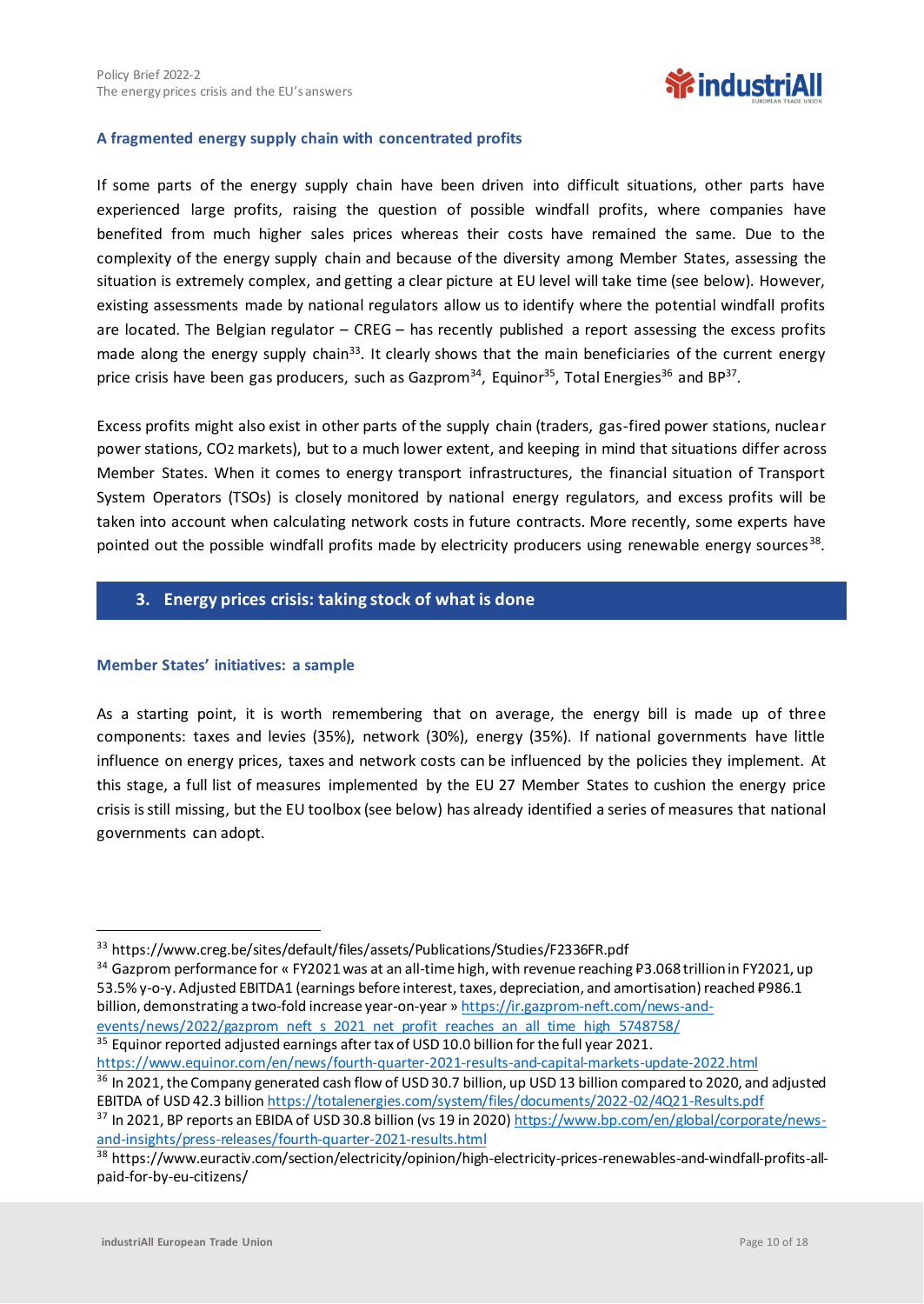

#### **A fragmented energy supply chain with concentrated profits**

If some parts of the energy supply chain have been driven into difficult situations, other parts have experienced large profits, raising the question of possible windfall profits, where companies have benefited from much higher sales prices whereas their costs have remained the same. Due to the complexity of the energy supply chain and because of the diversity among Member States, assessing the situation is extremely complex, and getting a clear picture at EU level will take time (see below). However, existing assessments made by national regulators allow us to identify where the potential windfall profits are located. The Belgian regulator – CREG – has recently published a report assessing the excess profits made along the energy supply chain<sup>33</sup>. It clearly shows that the main beneficiaries of the current energy price crisis have been gas producers, such as Gazprom<sup>34</sup>, Equinor<sup>35</sup>, Total Energies<sup>36</sup> and BP<sup>37</sup>.

Excess profits might also exist in other parts of the supply chain (traders, gas-fired power stations, nuclear power stations, CO2 markets), but to a much lower extent, and keeping in mind that situations differ across Member States. When it comes to energy transport infrastructures, the financial situation of Transport System Operators (TSOs) is closely monitored by national energy regulators, and excess profits will be taken into account when calculating network costs in future contracts. More recently, some experts have pointed out the possible windfall profits made by electricity producers using renewable energy sources<sup>38</sup>.

#### **3. Energy prices crisis: taking stock of what is done**

#### **Member States' initiatives: a sample**

As a starting point, it is worth remembering that on average, the energy bill is made up of three components: taxes and levies (35%), network (30%), energy (35%). If national governments have little influence on energy prices, taxes and network costs can be influenced by the policies they implement. At this stage, a full list of measures implemented by the EU 27 Member States to cushion the energy price crisis is still missing, but the EU toolbox (see below) has already identified a series of measures that national governments can adopt.

34 Gazprom performance for « FY2021 was at an all-time high, with revenue reaching ₽3.068 trillion in FY2021, up 53.5% y-o-y. Adjusted EBITDA1 (earnings before interest, taxes, depreciation, and amortisation) reached ₽986.1 billion, demonstrating a two-fold increase year-on-year » [https://ir.gazprom-neft.com/news-and](https://ir.gazprom-neft.com/news-and-events/news/2022/gazprom_neft_s_2021_net_profit_reaches_an_all_time_high_5748758/)events/news/2022/gazprom\_neft\_s\_2021\_net\_profit\_reaches\_an\_all\_time\_high\_5748758/ <sup>35</sup> Equinor reported adjusted earnings after tax of USD 10.0 billion for the full year 2021.

<https://www.equinor.com/en/news/fourth-quarter-2021-results-and-capital-markets-update-2022.html> <sup>36</sup> In 2021, the Company generated cash flow of USD 30.7 billion, up USD 13 billion compared to 2020, and adjusted EBITDA of USD 42.3 billion <https://totalenergies.com/system/files/documents/2022-02/4Q21-Results.pdf> <sup>37</sup> In 2021, BP reports an EBIDA of USD 30.8 billion (vs 19 in 2020) [https://www.bp.com/en/global/corporate/news-](https://www.bp.com/en/global/corporate/news-and-insights/press-releases/fourth-quarter-2021-results.html)

[and-insights/press-releases/fourth-quarter-2021-results.html](https://www.bp.com/en/global/corporate/news-and-insights/press-releases/fourth-quarter-2021-results.html)

<sup>33</sup> https://www.creg.be/sites/default/files/assets/Publications/Studies/F2336FR.pdf

<sup>38</sup> https://www.euractiv.com/section/electricity/opinion/high-electricity-prices-renewables-and-windfall-profits-allpaid-for-by-eu-citizens/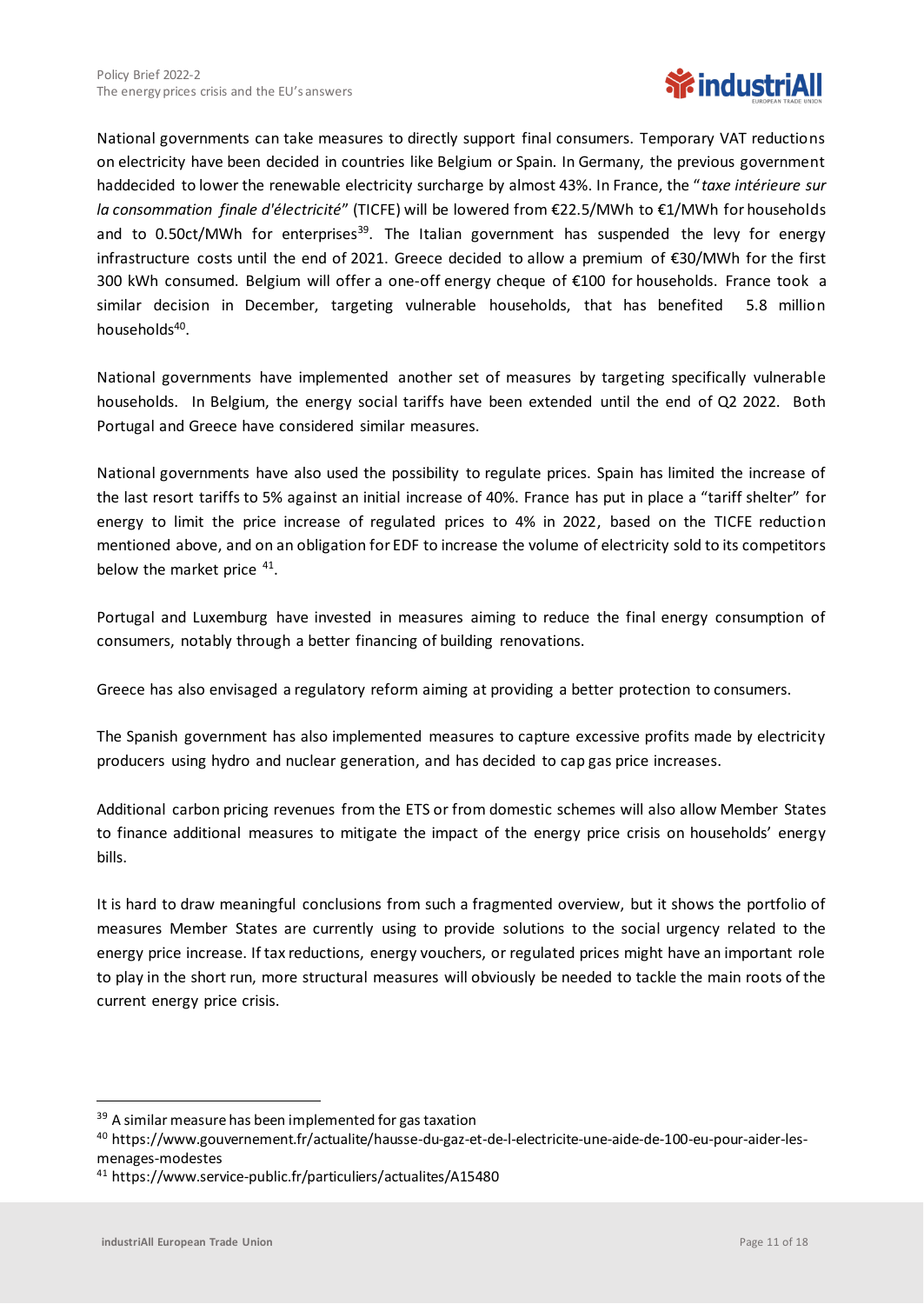

National governments can take measures to directly support final consumers. Temporary VAT reductions on electricity have been decided in countries like Belgium or Spain. In Germany, the previous government haddecided to lower the renewable electricity surcharge by almost 43%. In France, the "*taxe intérieure sur la consommation finale d'électricité*" (TICFE) will be lowered from €22.5/MWh to €1/MWh for households and to 0.50ct/MWh for enterprises<sup>39</sup>. The Italian government has suspended the levy for energy infrastructure costs until the end of 2021. Greece decided to allow a premium of €30/MWh for the first 300 kWh consumed. Belgium will offer a one-off energy cheque of €100 for households. France took a similar decision in December, targeting vulnerable households, that has benefited 5.8 million households<sup>40</sup>.

National governments have implemented another set of measures by targeting specifically vulnerable households. In Belgium, the energy social tariffs have been extended until the end of Q2 2022. Both Portugal and Greece have considered similar measures.

National governments have also used the possibility to regulate prices. Spain has limited the increase of the last resort tariffs to 5% against an initial increase of 40%. France has put in place a "tariff shelter" for energy to limit the price increase of regulated prices to 4% in 2022, based on the TICFE reduction mentioned above, and on an obligation for EDF to increase the volume of electricity sold to its competitors below the market price <sup>41</sup>.

Portugal and Luxemburg have invested in measures aiming to reduce the final energy consumption of consumers, notably through a better financing of building renovations.

Greece has also envisaged a regulatory reform aiming at providing a better protection to consumers.

The Spanish government has also implemented measures to capture excessive profits made by electricity producers using hydro and nuclear generation, and has decided to cap gas price increases.

Additional carbon pricing revenues from the ETS or from domestic schemes will also allow Member States to finance additional measures to mitigate the impact of the energy price crisis on households' energy bills.

It is hard to draw meaningful conclusions from such a fragmented overview, but it shows the portfolio of measures Member States are currently using to provide solutions to the social urgency related to the energy price increase. If tax reductions, energy vouchers, or regulated prices might have an important role to play in the short run, more structural measures will obviously be needed to tackle the main roots of the current energy price crisis.

<sup>&</sup>lt;sup>39</sup> A similar measure has been implemented for gas taxation

<sup>40</sup> https://www.gouvernement.fr/actualite/hausse-du-gaz-et-de-l-electricite-une-aide-de-100-eu-pour-aider-lesmenages-modestes

<sup>41</sup> https://www.service-public.fr/particuliers/actualites/A15480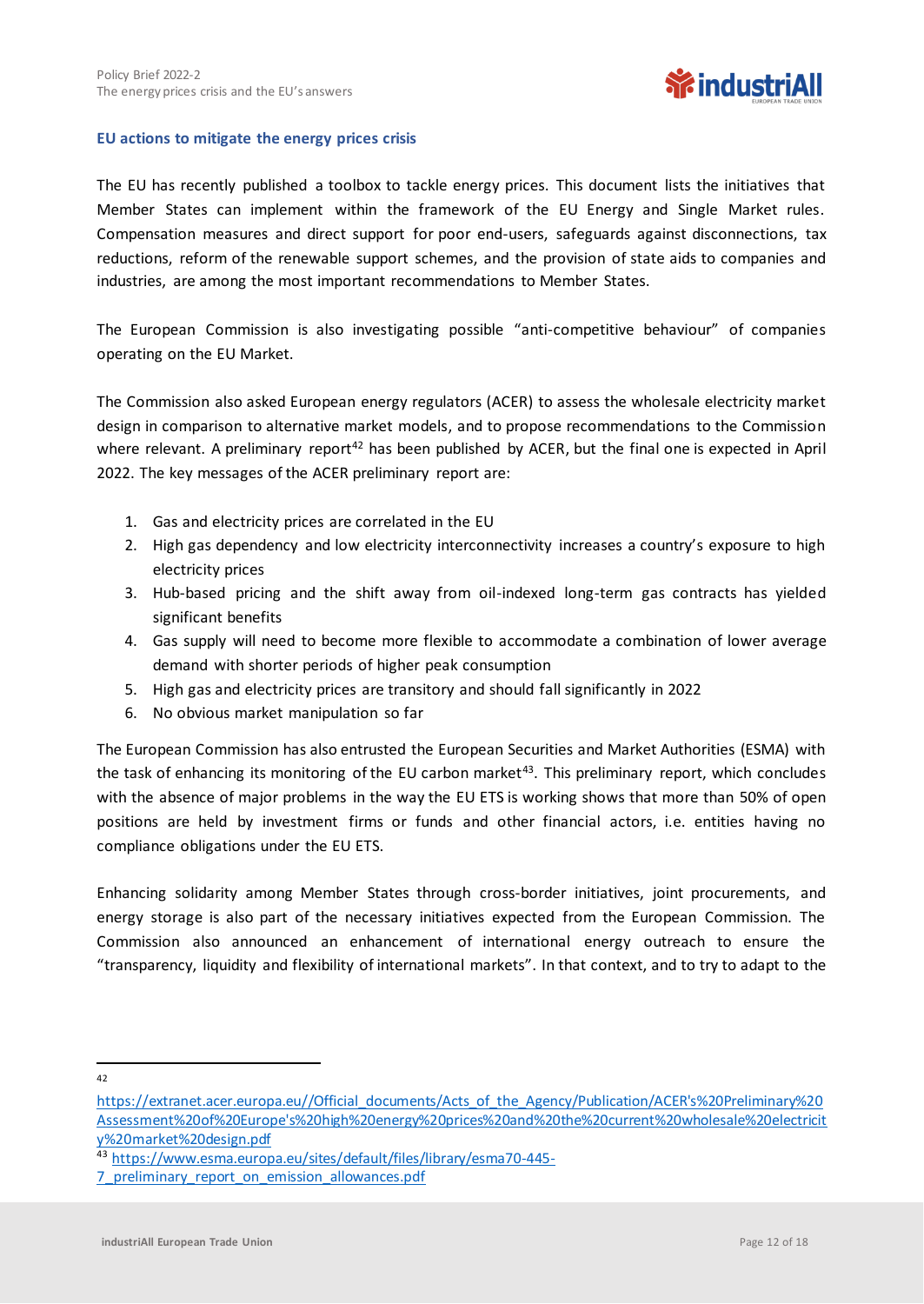

#### **EU actions to mitigate the energy prices crisis**

The EU has recently published a toolbox to tackle energy prices. This document lists the initiatives that Member States can implement within the framework of the EU Energy and Single Market rules. Compensation measures and direct support for poor end-users, safeguards against disconnections, tax reductions, reform of the renewable support schemes, and the provision of state aids to companies and industries, are among the most important recommendations to Member States.

The European Commission is also investigating possible "anti-competitive behaviour" of companies operating on the EU Market.

The Commission also asked European energy regulators (ACER) to assess the wholesale electricity market design in comparison to alternative market models, and to propose recommendations to the Commission where relevant. A preliminary report<sup>42</sup> has been published by ACER, but the final one is expected in April 2022. The key messages of the ACER preliminary report are:

- 1. Gas and electricity prices are correlated in the EU
- 2. High gas dependency and low electricity interconnectivity increases a country's exposure to high electricity prices
- 3. Hub-based pricing and the shift away from oil-indexed long-term gas contracts has yielded significant benefits
- 4. Gas supply will need to become more flexible to accommodate a combination of lower average demand with shorter periods of higher peak consumption
- 5. High gas and electricity prices are transitory and should fall significantly in 2022
- 6. No obvious market manipulation so far

The European Commission has also entrusted the European Securities and Market Authorities (ESMA) with the task of enhancing its monitoring of the EU carbon market<sup>43</sup>. This preliminary report, which concludes with the absence of major problems in the way the EU ETS is working shows that more than 50% of open positions are held by investment firms or funds and other financial actors, i.e. entities having no compliance obligations under the EU ETS.

Enhancing solidarity among Member States through cross-border initiatives, joint procurements, and energy storage is also part of the necessary initiatives expected from the European Commission. The Commission also announced an enhancement of international energy outreach to ensure the "transparency, liquidity and flexibility of international markets". In that context, and to try to adapt to the

42

[https://extranet.acer.europa.eu//Official\\_documents/Acts\\_of\\_the\\_Agency/Publication/ACER's%20Preliminary%20](https://extranet.acer.europa.eu/Official_documents/Acts_of_the_Agency/Publication/ACER) [Assessment%20of%20Europe's%20high%20energy%20prices%20and%20the%20current%20wholesale%20electricit](https://extranet.acer.europa.eu/Official_documents/Acts_of_the_Agency/Publication/ACER) [y%20market%20design.pdf](https://extranet.acer.europa.eu/Official_documents/Acts_of_the_Agency/Publication/ACER)

<sup>43</sup> [https://www.esma.europa.eu/sites/default/files/library/esma70-445-](https://www.esma.europa.eu/sites/default/files/library/esma70-445-7_preliminary_report_on_emission_allowances.pdf)

<sup>7</sup> preliminary report on emission allowances.pdf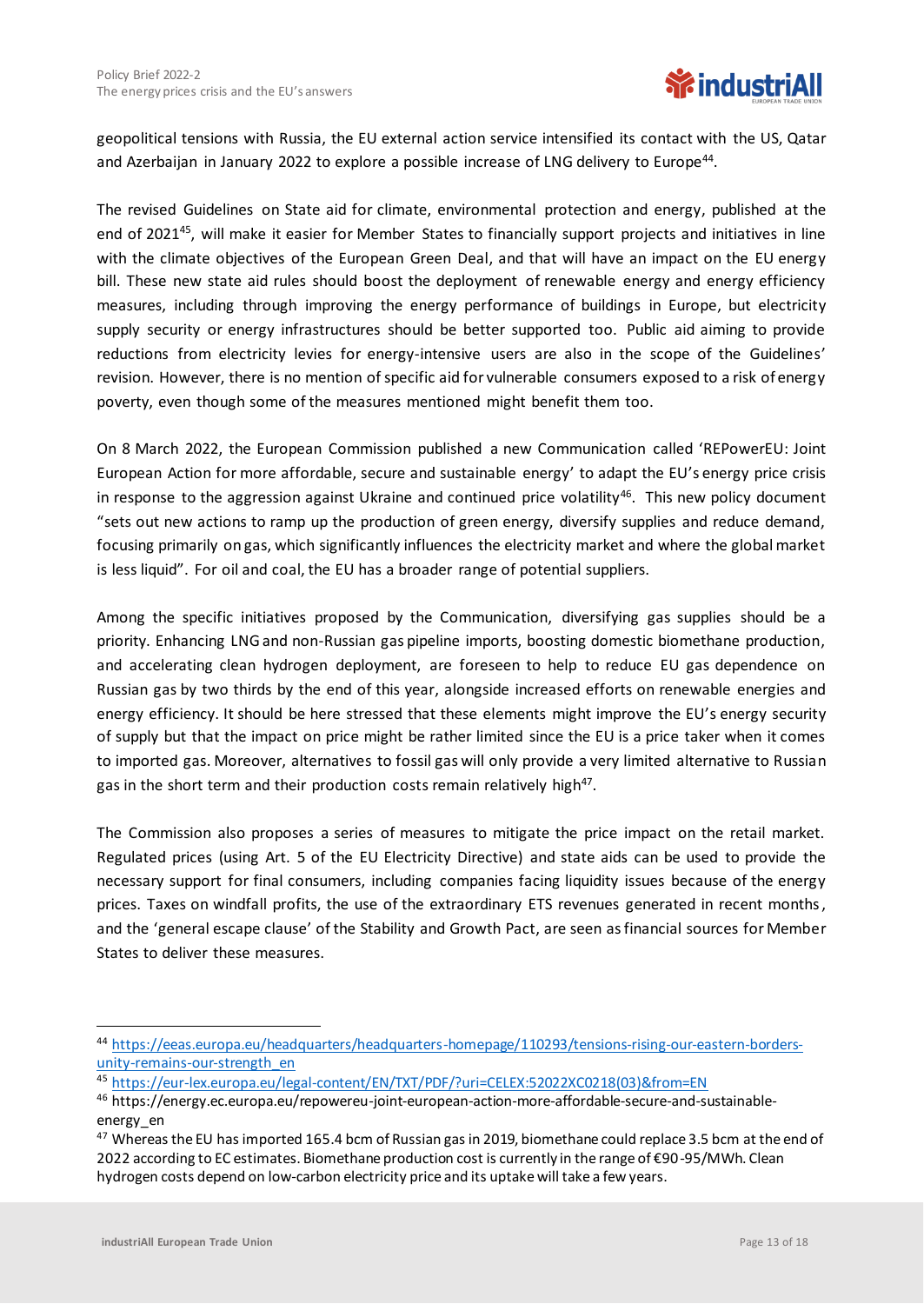geopolitical tensions with Russia, the EU external action service intensified its contact with the US, Qatar and Azerbaijan in January 2022 to explore a possible increase of LNG delivery to Europe<sup>44</sup>.

The revised Guidelines on State aid for climate, environmental protection and energy, published at the end of 2021<sup>45</sup>, will make it easier for Member States to financially support projects and initiatives in line with the climate objectives of the European Green Deal, and that will have an impact on the EU energy bill. These new state aid rules should boost the deployment of renewable energy and energy efficiency measures, including through improving the energy performance of buildings in Europe, but electricity supply security or energy infrastructures should be better supported too. Public aid aiming to provide reductions from electricity levies for energy-intensive users are also in the scope of the Guidelines' revision. However, there is no mention of specific aid for vulnerable consumers exposed to a risk of energy poverty, even though some of the measures mentioned might benefit them too.

On 8 March 2022, the European Commission published a new Communication called 'REPowerEU: Joint European Action for more affordable, secure and sustainable energy' to adapt the EU's energy price crisis in response to the aggression against Ukraine and continued price volatility<sup>46</sup>. This new policy document "sets out new actions to ramp up the production of green energy, diversify supplies and reduce demand, focusing primarily on gas, which significantly influences the electricity market and where the global market is less liquid". For oil and coal, the EU has a broader range of potential suppliers.

Among the specific initiatives proposed by the Communication, diversifying gas supplies should be a priority. Enhancing LNG and non-Russian gas pipeline imports, boosting domestic biomethane production, and accelerating clean hydrogen deployment, are foreseen to help to reduce EU gas dependence on Russian gas by two thirds by the end of this year, alongside increased efforts on renewable energies and energy efficiency. It should be here stressed that these elements might improve the EU's energy security of supply but that the impact on price might be rather limited since the EU is a price taker when it comes to imported gas. Moreover, alternatives to fossil gas will only provide a very limited alternative to Russian gas in the short term and their production costs remain relatively high<sup>47</sup>.

The Commission also proposes a series of measures to mitigate the price impact on the retail market. Regulated prices (using Art. 5 of the EU Electricity Directive) and state aids can be used to provide the necessary support for final consumers, including companies facing liquidity issues because of the energy prices. Taxes on windfall profits, the use of the extraordinary ETS revenues generated in recent months, and the 'general escape clause' of the Stability and Growth Pact, are seen as financial sources for Member States to deliver these measures.

<sup>44</sup> [https://eeas.europa.eu/headquarters/headquarters-homepage/110293/tensions-rising-our-eastern-borders](https://eeas.europa.eu/headquarters/headquarters-homepage/110293/tensions-rising-our-eastern-borders-unity-remains-our-strength_en)[unity-remains-our-strength\\_en](https://eeas.europa.eu/headquarters/headquarters-homepage/110293/tensions-rising-our-eastern-borders-unity-remains-our-strength_en)

<sup>45</sup> [https://eur-lex.europa.eu/legal-content/EN/TXT/PDF/?uri=CELEX:52022XC0218\(03\)&from=EN](https://eur-lex.europa.eu/legal-content/EN/TXT/PDF/?uri=CELEX:52022XC0218(03)&from=EN)

<sup>46</sup> https://energy.ec.europa.eu/repowereu-joint-european-action-more-affordable-secure-and-sustainableenergy\_en

<sup>&</sup>lt;sup>47</sup> Whereas the EU has imported 165.4 bcm of Russian gas in 2019, biomethane could replace 3.5 bcm at the end of 2022 according to EC estimates. Biomethane production cost is currently in the range of €90-95/MWh. Clean hydrogen costs depend on low-carbon electricity price and its uptake will take a few years.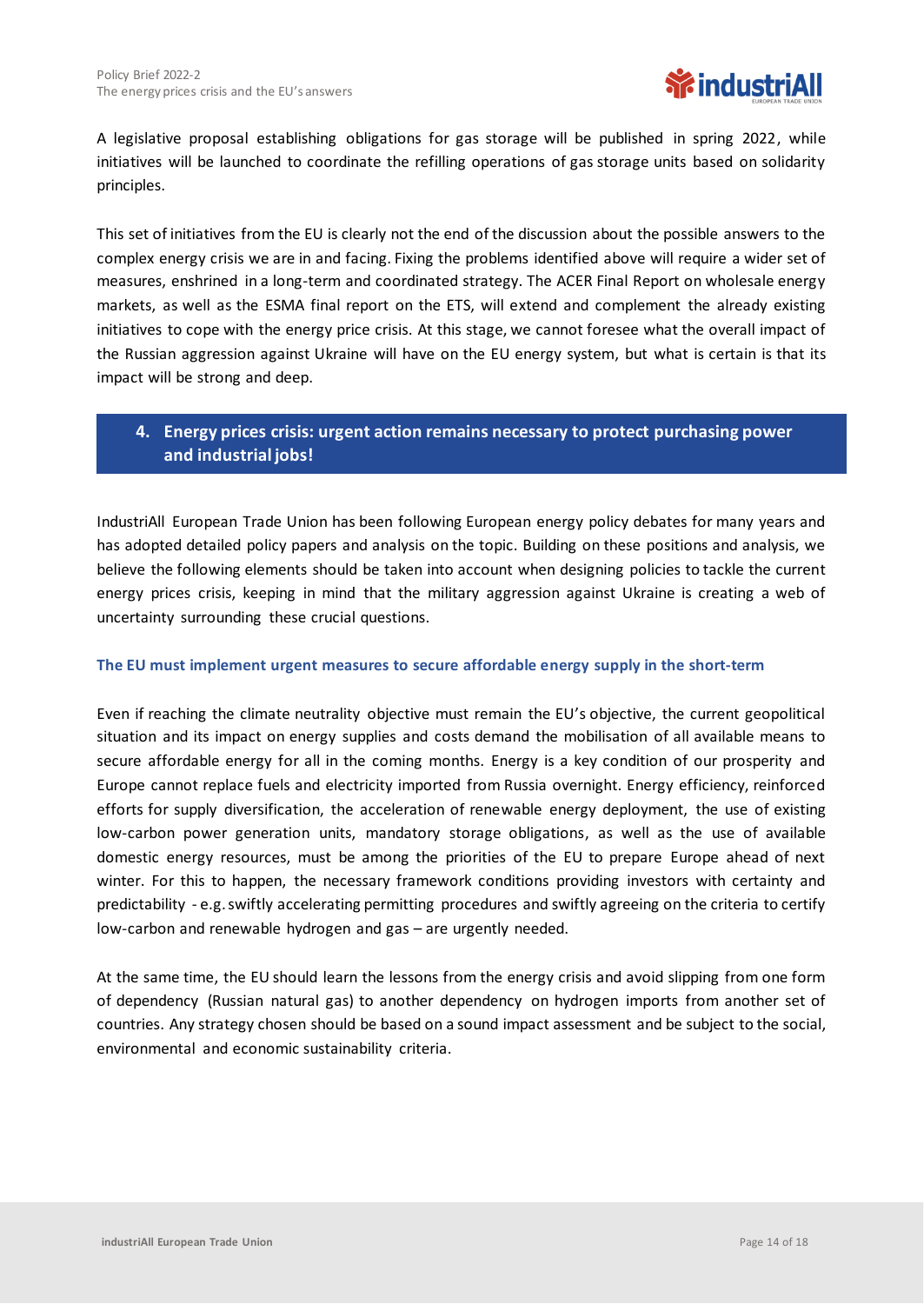

A legislative proposal establishing obligations for gas storage will be published in spring 2022, while initiatives will be launched to coordinate the refilling operations of gas storage units based on solidarity principles.

This set of initiatives from the EU is clearly not the end of the discussion about the possible answers to the complex energy crisis we are in and facing. Fixing the problems identified above will require a wider set of measures, enshrined in a long-term and coordinated strategy. The ACER Final Report on wholesale energy markets, as well as the ESMA final report on the ETS, will extend and complement the already existing initiatives to cope with the energy price crisis. At this stage, we cannot foresee what the overall impact of the Russian aggression against Ukraine will have on the EU energy system, but what is certain is that its impact will be strong and deep.

### **4. Energy prices crisis: urgent action remains necessary to protect purchasing power and industrial jobs!**

IndustriAll European Trade Union has been following European energy policy debates for many years and has adopted detailed policy papers and analysis on the topic. Building on these positions and analysis, we believe the following elements should be taken into account when designing policies to tackle the current energy prices crisis, keeping in mind that the military aggression against Ukraine is creating a web of uncertainty surrounding these crucial questions.

#### **The EU must implement urgent measures to secure affordable energy supply in the short-term**

Even if reaching the climate neutrality objective must remain the EU's objective, the current geopolitical situation and its impact on energy supplies and costs demand the mobilisation of all available means to secure affordable energy for all in the coming months. Energy is a key condition of our prosperity and Europe cannot replace fuels and electricity imported from Russia overnight. Energy efficiency, reinforced efforts for supply diversification, the acceleration of renewable energy deployment, the use of existing low-carbon power generation units, mandatory storage obligations, as well as the use of available domestic energy resources, must be among the priorities of the EU to prepare Europe ahead of next winter. For this to happen, the necessary framework conditions providing investors with certainty and predictability - e.g. swiftly accelerating permitting procedures and swiftly agreeing on the criteria to certify low-carbon and renewable hydrogen and gas – are urgently needed.

At the same time, the EU should learn the lessons from the energy crisis and avoid slipping from one form of dependency (Russian natural gas) to another dependency on hydrogen imports from another set of countries. Any strategy chosen should be based on a sound impact assessment and be subject to the social, environmental and economic sustainability criteria.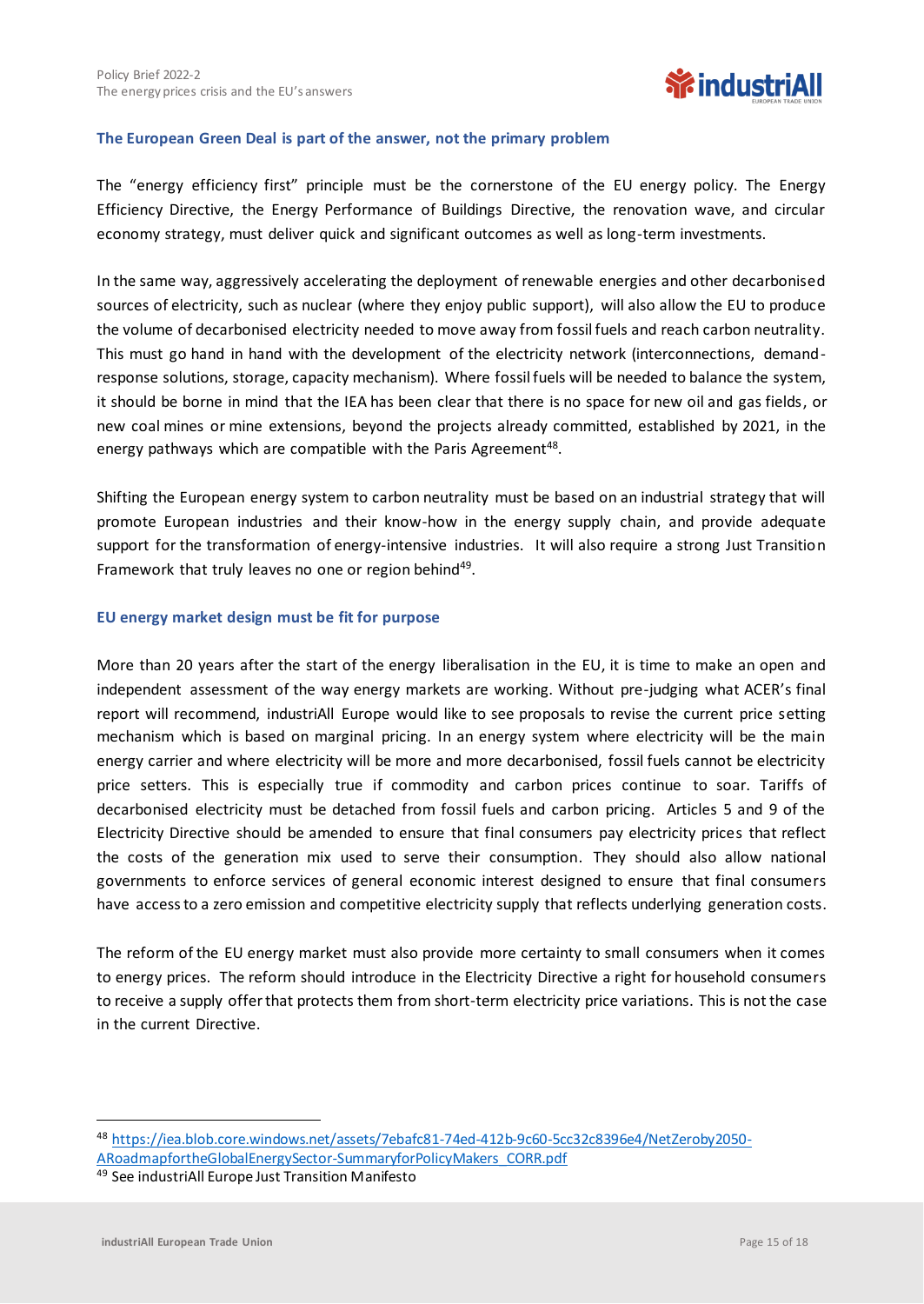

#### **The European Green Deal is part of the answer, not the primary problem**

The "energy efficiency first" principle must be the cornerstone of the EU energy policy. The Energy Efficiency Directive, the Energy Performance of Buildings Directive, the renovation wave, and circular economy strategy, must deliver quick and significant outcomes as well as long-term investments.

In the same way, aggressively accelerating the deployment of renewable energies and other decarbonised sources of electricity, such as nuclear (where they enjoy public support), will also allow the EU to produce the volume of decarbonised electricity needed to move away from fossil fuels and reach carbon neutrality. This must go hand in hand with the development of the electricity network (interconnections, demandresponse solutions, storage, capacity mechanism). Where fossil fuels will be needed to balance the system, it should be borne in mind that the IEA has been clear that there is no space for new oil and gas fields, or new coal mines or mine extensions, beyond the projects already committed, established by 2021, in the energy pathways which are compatible with the Paris Agreement<sup>48</sup>.

Shifting the European energy system to carbon neutrality must be based on an industrial strategy that will promote European industries and their know-how in the energy supply chain, and provide adequate support for the transformation of energy-intensive industries. It will also require a strong Just Transition Framework that truly leaves no one or region behind<sup>49</sup>.

#### **EU energy market design must be fit for purpose**

More than 20 years after the start of the energy liberalisation in the EU, it is time to make an open and independent assessment of the way energy markets are working. Without pre-judging what ACER's final report will recommend, industriAll Europe would like to see proposals to revise the current price setting mechanism which is based on marginal pricing. In an energy system where electricity will be the main energy carrier and where electricity will be more and more decarbonised, fossil fuels cannot be electricity price setters. This is especially true if commodity and carbon prices continue to soar. Tariffs of decarbonised electricity must be detached from fossil fuels and carbon pricing. Articles 5 and 9 of the Electricity Directive should be amended to ensure that final consumers pay electricity prices that reflect the costs of the generation mix used to serve their consumption. They should also allow national governments to enforce services of general economic interest designed to ensure that final consumers have access to a zero emission and competitive electricity supply that reflects underlying generation costs.

The reform of the EU energy market must also provide more certainty to small consumers when it comes to energy prices. The reform should introduce in the Electricity Directive a right for household consumers to receive a supply offer that protects them from short-term electricity price variations. This is not the case in the current Directive.

<sup>48</sup> [https://iea.blob.core.windows.net/assets/7ebafc81-74ed-412b-9c60-5cc32c8396e4/NetZeroby2050-](https://iea.blob.core.windows.net/assets/7ebafc81-74ed-412b-9c60-5cc32c8396e4/NetZeroby2050-ARoadmapfortheGlobalEnergySector-SummaryforPolicyMakers_CORR.pdf) [ARoadmapfortheGlobalEnergySector-SummaryforPolicyMakers\\_CORR.pdf](https://iea.blob.core.windows.net/assets/7ebafc81-74ed-412b-9c60-5cc32c8396e4/NetZeroby2050-ARoadmapfortheGlobalEnergySector-SummaryforPolicyMakers_CORR.pdf)

<sup>49</sup> See industriAll Europe Just Transition Manifesto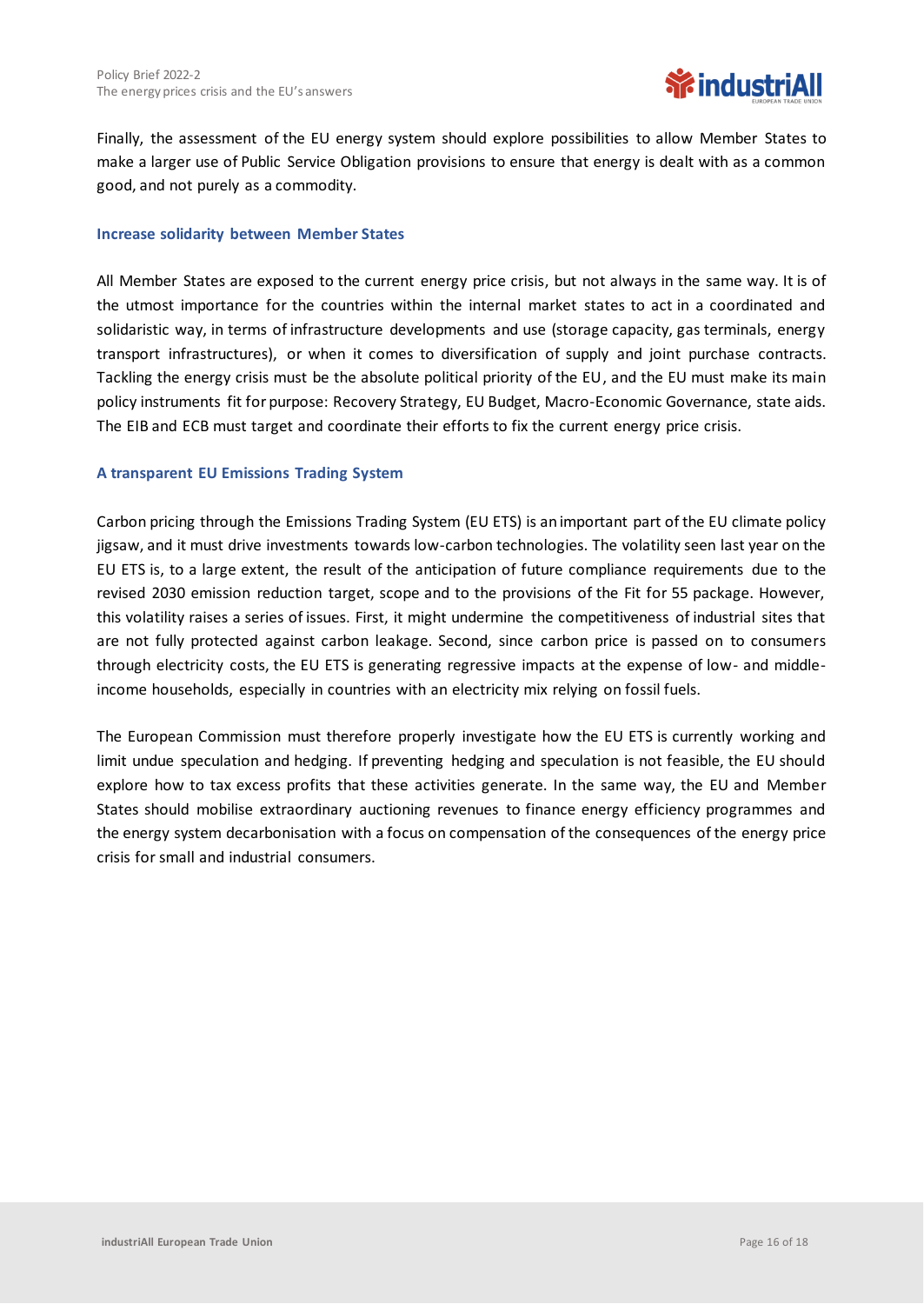

Finally, the assessment of the EU energy system should explore possibilities to allow Member States to make a larger use of Public Service Obligation provisions to ensure that energy is dealt with as a common good, and not purely as a commodity.

#### **Increase solidarity between Member States**

All Member States are exposed to the current energy price crisis, but not always in the same way. It is of the utmost importance for the countries within the internal market states to act in a coordinated and solidaristic way, in terms of infrastructure developments and use (storage capacity, gas terminals, energy transport infrastructures), or when it comes to diversification of supply and joint purchase contracts. Tackling the energy crisis must be the absolute political priority of the EU, and the EU must make its main policy instruments fit for purpose: Recovery Strategy, EU Budget, Macro-Economic Governance, state aids. The EIB and ECB must target and coordinate their efforts to fix the current energy price crisis.

#### **A transparent EU Emissions Trading System**

Carbon pricing through the Emissions Trading System (EU ETS) is an important part of the EU climate policy jigsaw, and it must drive investments towards low-carbon technologies. The volatility seen last year on the EU ETS is, to a large extent, the result of the anticipation of future compliance requirements due to the revised 2030 emission reduction target, scope and to the provisions of the Fit for 55 package. However, this volatility raises a series of issues. First, it might undermine the competitiveness of industrial sites that are not fully protected against carbon leakage. Second, since carbon price is passed on to consumers through electricity costs, the EU ETS is generating regressive impacts at the expense of low- and middleincome households, especially in countries with an electricity mix relying on fossil fuels.

The European Commission must therefore properly investigate how the EU ETS is currently working and limit undue speculation and hedging. If preventing hedging and speculation is not feasible, the EU should explore how to tax excess profits that these activities generate. In the same way, the EU and Member States should mobilise extraordinary auctioning revenues to finance energy efficiency programmes and the energy system decarbonisation with a focus on compensation of the consequences of the energy price crisis for small and industrial consumers.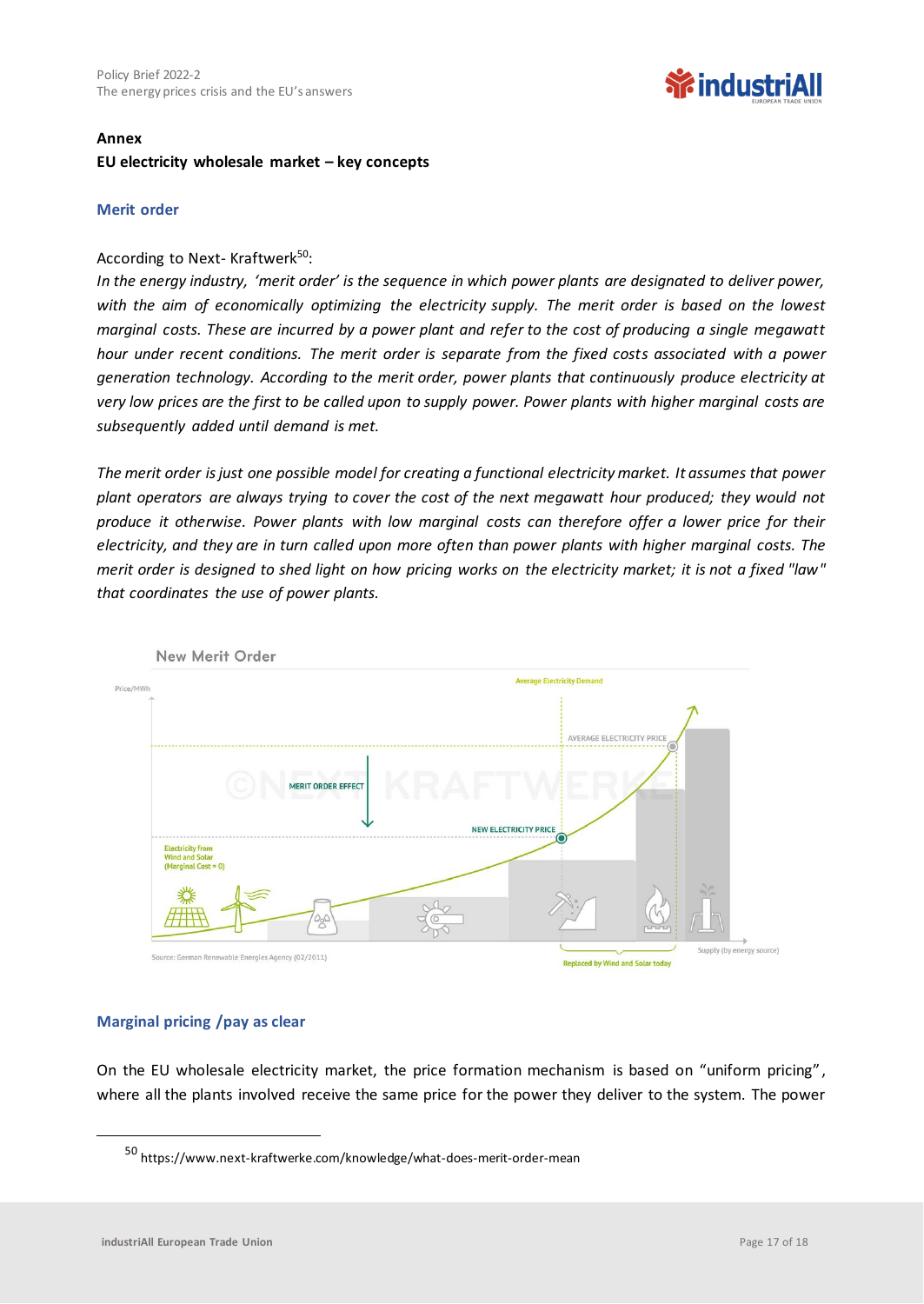### **WindustriAll**

#### **Annex**

#### **EU electricity wholesale market – key concepts**

#### **Merit order**

#### According to Next- Kraftwerk<sup>50</sup>:

*In the energy industry, 'merit order' is the sequence in which power plants are designated to deliver power, with the aim of economically optimizing the electricity supply. The merit order is based on the lowest marginal costs. These are incurred by a power plant and refer to the cost of producing a single megawatt hour under recent conditions. The merit order is separate from the fixed costs associated with a power generation technology. According to the merit order, power plants that continuously produce electricity at very low prices are the first to be called upon to supply power. Power plants with higher marginal costs are subsequently added until demand is met.*

*The merit order is just one possible model for creating a functional electricity market. It assumes that power plant operators are always trying to cover the cost of the next megawatt hour produced; they would not produce it otherwise. Power plants with low marginal costs can therefore offer a lower price for their electricity, and they are in turn called upon more often than power plants with higher marginal costs. The merit order is designed to shed light on how pricing works on the electricity market; it is not a fixed "law" that coordinates the use of power plants.*



#### **Marginal pricing /pay as clear**

On the EU wholesale electricity market, the price formation mechanism is based on "uniform pricing", where all the plants involved receive the same price for the power they deliver to the system. The power

<sup>50</sup> https://www.next-kraftwerke.com/knowledge/what-does-merit-order-mean